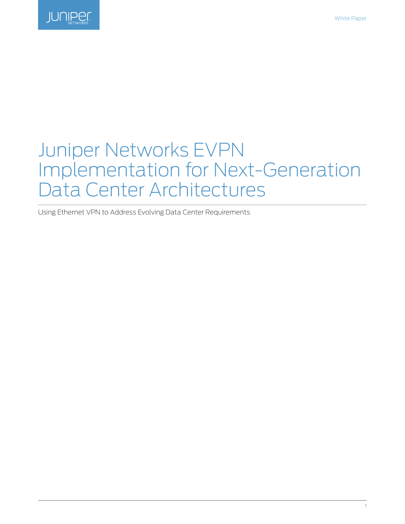

# Juniper Networks EVPN Implementation for Next-Generation Data Center Architectures

Using Ethernet VPN to Address Evolving Data Center Requirements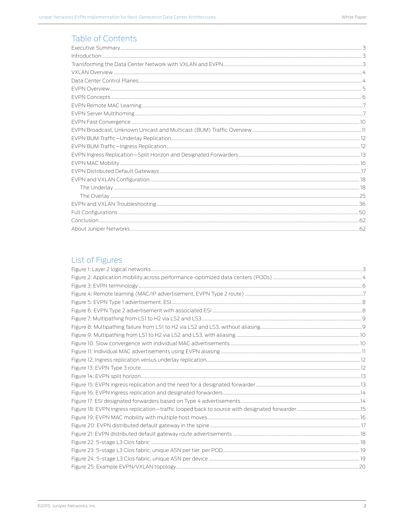### Table of Contents

## List of Figures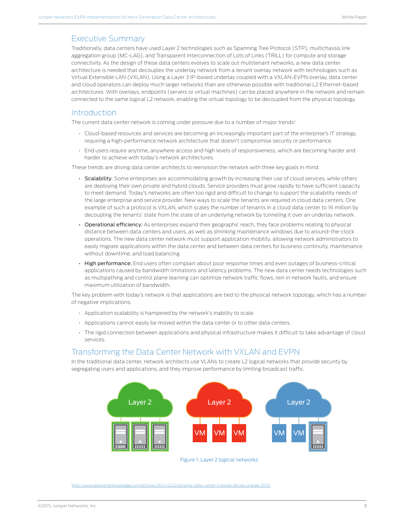### <span id="page-2-0"></span>Executive Summary

Traditionally, data centers have used Layer 2 technologies such as Spanning Tree Protocol (STP), multichassis link aggregation group (MC-LAG), and Transparent Interconnection of Lots of Links (TRILL) for compute and storage connectivity. As the design of these data centers evolves to scale out multitenant networks, a new data center architecture is needed that decouples the underlay network from a tenant overlay network with technologies such as Virtual Extensible LAN (VXLAN). Using a Layer 3 IP-based underlay coupled with a VXLAN-EVPN overlay, data center and cloud operators can deploy much larger networks than are otherwise possible with traditional L2 Ethernet-based architectures. With overlays, endpoints (servers or virtual machines) can be placed anywhere in the network and remain connected to the same logical L2 network, enabling the virtual topology to be decoupled from the physical topology.

### **Introduction**

The current data center network is coming under pressure due to a number of major trends<sup>1</sup>:

- Cloud-based resources and services are becoming an increasingly important part of the enterprise's IT strategy, requiring a high-performance network architecture that doesn't compromise security or performance.
- End users require anytime, anywhere access and high levels of responsiveness, which are becoming harder and harder to achieve with today's network architectures.

These trends are driving data center architects to reenvision the network with three key goals in mind:

- Scalability: Some enterprises are accommodating growth by increasing their use of cloud services, while others are deploying their own private and hybrid clouds. Service providers must grow rapidly to have sufficient capacity to meet demand. Today's networks are often too rigid and difficult to change to support the scalability needs of the large enterprise and service provider. New ways to scale the tenants are required in cloud data centers. One example of such a protocol is VXLAN, which scales the number of tenants in a cloud data center to 16 million by decoupling the tenants' state from the state of an underlying network by tunneling it over an underlay network.
- Operational efficiency: As enterprises expand their geographic reach, they face problems relating to physical distance between data centers and users, as well as shrinking maintenance windows due to around-the-clock operations. The new data center network must support application mobility, allowing network administrators to easily migrate applications within the data center and between data centers for business continuity, maintenance without downtime, and load balancing.
- High performance: End users often complain about poor response times and even outages of business-critical applications caused by bandwidth limitations and latency problems. The new data center needs technologies such as multipathing and control plane learning can optimize network traffic flows, rein in network faults, and ensure maximum utilization of bandwidth.

The key problem with today's network is that applications are tied to the physical network topology, which has a number of negative implications:

- Application scalability is hampered by the network's inability to scale.
- Applications cannot easily be moved within the data center or to other data centers.
- The rigid connection between applications and physical infrastructure makes it difficult to take advantage of cloud services.

### Transforming the Data Center Network with VXLAN and EVPN

In the traditional data center, network architects use VLANs to create L2 logical networks that provide security by segregating users and applications, and they improve performance by limiting broadcast traffic.



Figure 1: Layer 2 logical networks

[http://www.datacenterknowledge.com/archives/2014/12/22/dynamic-data-center-3-trends-driving-change-2015/](1http://www.datacenterknowledge.com/archives/2014/12/22/dynamic-data-center-3-trends-driving-change-2015/)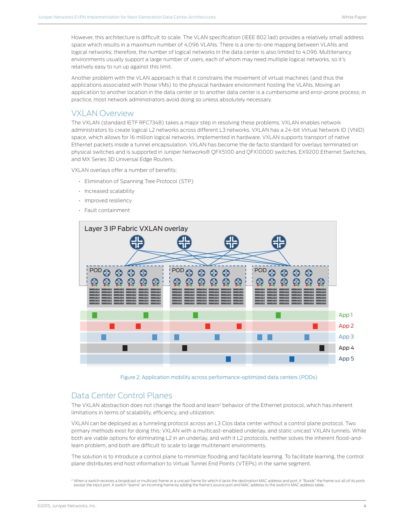<span id="page-3-0"></span>However, this architecture is difficult to scale. The VLAN specification (IEEE 802.1ad) provides a relatively small address space which results in a maximum number of 4,096 VLANs. There is a one-to-one mapping between VLANs and logical networks; therefore, the number of logical networks in the data center is also limited to 4,096. Multitenancy environments usually support a large number of users, each of whom may need multiple logical networks, so it's relatively easy to run up against this limit.

Another problem with the VLAN approach is that it constrains the movement of virtual machines (and thus the applications associated with those VMs) to the physical hardware environment hosting the VLANs. Moving an application to another location in the data center or to another data center is a cumbersome and error-prone process; in practice, most network administrators avoid doing so unless absolutely necessary.

### VXLAN Overview

The VXLAN (standard IETF RFC7348) takes a major step in resolving these problems. VXLAN enables network administrators to create logical L2 networks across different L3 networks. VXLAN has a 24-bit Virtual Network ID (VNID) space, which allows for 16 million logical networks. Implemented in hardware, VXLAN supports transport of native Ethernet packets inside a tunnel encapsulation. VXLAN has become the de facto standard for overlays terminated on physical switches and is supported in Juniper Networks® QFX5100 and QFX10000 switches, EX9200 Ethernet Switches, and MX Series 3D Universal Edge Routers.

VXLAN overlays offer a number of benefits:

- Elimination of Spanning Tree Protocol (STP)
- Increased scalability
- Improved resiliency
- Fault containment



Figure 2: Application mobility across performance-optimized data centers (PODs)

### Data Center Control Planes

The VXLAN abstraction does not change the flood and learn<sup>2</sup> behavior of the Ethernet protocol, which has inherent limitations in terms of scalability, efficiency, and utilization.

VXLAN can be deployed as a tunneling protocol across an L3 Clos data center without a control plane protocol. Two primary methods exist for doing this: VXLAN with a multicast-enabled underlay, and static unicast VXLAN tunnels. While both are viable options for eliminating L2 in an underlay, and with it L2 protocols, neither solves the inherent flood-andlearn problem, and both are difficult to scale to large multitenant environments.

The solution is to introduce a control plane to minimize flooding and facilitate learning. To facilitate learning, the control plane distributes end host information to Virtual Tunnel End Points (VTEPs) in the same segment.

<sup>&</sup>lt;sup>2</sup> When a switch receives a broadcast or multicast frame or a unicast frame for which it lacks the destination MAC address and port, it "floods" the frame out all of its ports<br>except the input port. A switch "learns" an i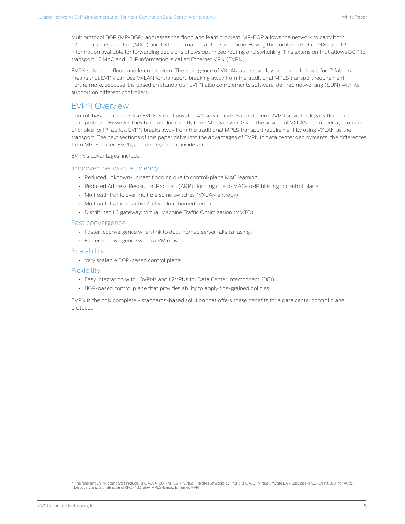<span id="page-4-0"></span>Multiprotocol BGP (MP-BGP) addresses the flood and learn problem. MP-BGP allows the network to carry both L2 media access control (MAC) and L3 IP information at the same time. Having the combined set of MAC and IP information available for forwarding decisions allows optimized routing and switching. This extension that allows BGP to transport L2 MAC and L3 IP information is called Ethernet VPN (EVPN).

EVPN solves the flood and learn problem. The emergence of VXLAN as the overlay protocol of choice for IP fabrics means that EVPN can use VXLAN for transport, breaking away from the traditional MPLS transport requirement. Furthermore, because it is based on standards<sup>3</sup>, EVPN also complements software-defined networking (SDN) with its support on different controllers.

### EVPN Overview

Control-based protocols like EVPN, virtual private LAN service (VPLS), and even L2VPN solve the legacy flood-andlearn problem. However, they have predominantly been MPLS driven. Given the advent of VXLAN as an overlay protocol of choice for IP fabrics, EVPN breaks away from the traditional MPLS transport requirement by using VXLAN as the transport. The next sections of this paper delve into the advantages of EVPN in data center deployments, the differences from MPLS-based EVPN, and deployment considerations.

EVPN's advantages, include:

#### Improved network efficiency

- Reduced unknown-unicast flooding due to control-plane MAC learning
- Reduced Address Resolution Protocol (ARP) flooding due to MAC-to-IP binding in control plane
- Multipath traffic over multiple spine switches (VXLAN entropy)
- Multipath traffic to active/active dual-homed server
- Distributed L3 gateway: Virtual Machine Traffic Optimization (VMTO)

#### Fast convergence

- Faster reconvergence when link to dual-homed server fails (aliasing)
- Faster reconvergence when a VM moves

#### **Scalability**

• Very scalable BGP-based control plane

#### Flexibility

- Easy integration with L3VPNs and L2VPNs for Data Center Interconnect (DCI)
- BGP-based control plane that provides ability to apply fine-grained policies

EVPN is the only completely standards-based solution that offers these benefits for a data center control plane protocol.

<sup>3</sup> The relevant EVPN standards include RFC 4364, BGP/MPLS IP Virtual Private Networks (VPNs); RFC 4761, Virtual Private LAN Service (VPLS) Using BGP for Auto-<br>Discovery and Signaling; and RFC 7432, BGP MPLS-Based Ethernet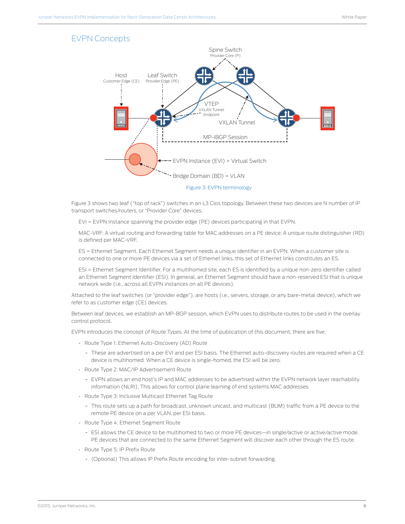### <span id="page-5-0"></span>EVPN Concepts



Figure 3 shows two leaf ("top of rack") switches in an L3 Clos topology. Between these two devices are N number of IP transport switches/routers, or "Provider Core" devices.

EVI = EVPN Instance spanning the provider edge (PE) devices participating in that EVPN.

MAC-VRF: A virtual routing and forwarding table for MAC addresses on a PE device. A unique route distinguisher (RD) is defined per MAC-VRF.

ES = Ethernet Segment. Each Ethernet Segment needs a unique identifier in an EVPN. When a customer site is connected to one or more PE devices via a set of Ethernet links, this set of Ethernet links constitutes an ES.

ESI = Ethernet Segment Identifier. For a multihomed site, each ES is identified by a unique non-zero identifier called an Ethernet Segment Identifier (ESI). In general, an Ethernet Segment should have a non-reserved ESI that is unique network wide (i.e., across all EVPN instances on all PE devices).

Attached to the leaf switches (or "provider edge"), are hosts (i.e., servers, storage, or any bare-metal device), which we refer to as customer edge (CE) devices.

Between leaf devices, we establish an MP-BGP session, which EVPN uses to distribute routes to be used in the overlay control protocol.

EVPN introduces the concept of Route Types. At the time of publication of this document, there are five.

- Route Type 1: Ethernet Auto-Discovery (AD) Route
	- These are advertised on a per EVI and per ESI basis. The Ethernet auto-discovery routes are required when a CE device is multihomed. When a CE device is single-homed, the ESI will be zero.
- Route Type 2: MAC/IP Advertisement Route
	- EVPN allows an end host's IP and MAC addresses to be advertised within the EVPN network layer reachability information (NLRI). This allows for control plane learning of end systems MAC addresses.
- Route Type 3: Inclusive Multicast Ethernet Tag Route
	- This route sets up a path for broadcast, unknown unicast, and multicast (BUM) traffic from a PE device to the remote PE device on a per VLAN, per ESI basis.
- Route Type 4: Ethernet Segment Route
	- ESI allows the CE device to be multihomed to two or more PE devices—in single/active or active/active mode. PE devices that are connected to the same Ethernet Segment will discover each other through the ES route.
- Route Type 5: IP Prefix Route
	- (Optional) This allows IP Prefix Route encoding for inter-subnet forwarding.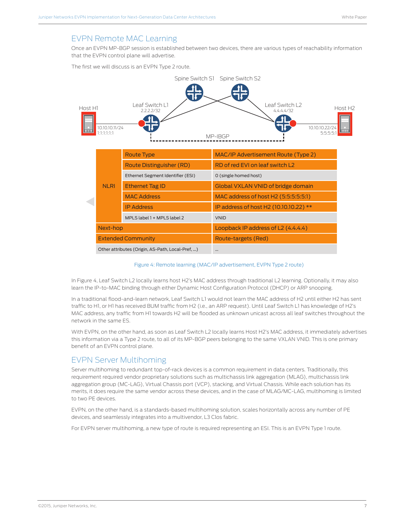### <span id="page-6-0"></span>EVPN Remote MAC Learning

Once an EVPN MP-BGP session is established between two devices, there are various types of reachability information that the EVPN control plane will advertise.

The first we will discuss is an EVPN Type 2 route.



#### Figure 4: Remote learning (MAC/IP advertisement, EVPN Type 2 route)

In Figure 4, Leaf Switch L2 locally learns host H2's MAC address through traditional L2 learning. Optionally, it may also learn the IP-to-MAC binding through either Dynamic Host Configuration Protocol (DHCP) or ARP snooping.

In a traditional flood-and-learn network, Leaf Switch L1 would not learn the MAC address of H2 until either H2 has sent traffic to H1, or H1 has received BUM traffic from H2 (i.e., an ARP request). Until Leaf Switch L1 has knowledge of H2's MAC address, any traffic from H1 towards H2 will be flooded as unknown unicast across all leaf switches throughout the network in the same ES.

With EVPN, on the other hand, as soon as Leaf Switch L2 locally learns Host H2's MAC address, it immediately advertises this information via a Type 2 route, to all of its MP-BGP peers belonging to the same VXLAN VNID. This is one primary benefit of an EVPN control plane.

### EVPN Server Multihoming

Server multihoming to redundant top-of-rack devices is a common requirement in data centers. Traditionally, this requirement required vendor proprietary solutions such as multichassis link aggregation (MLAG), multichassis link aggregation group (MC-LAG), Virtual Chassis port (VCP), stacking, and Virtual Chassis. While each solution has its merits, it does require the same vendor across these devices, and in the case of MLAG/MC-LAG, multihoming is limited to two PE devices.

EVPN, on the other hand, is a standards-based multihoming solution, scales horizontally across any number of PE devices, and seamlessly integrates into a multivendor, L3 Clos fabric.

For EVPN server multihoming, a new type of route is required representing an ESI. This is an EVPN Type 1 route.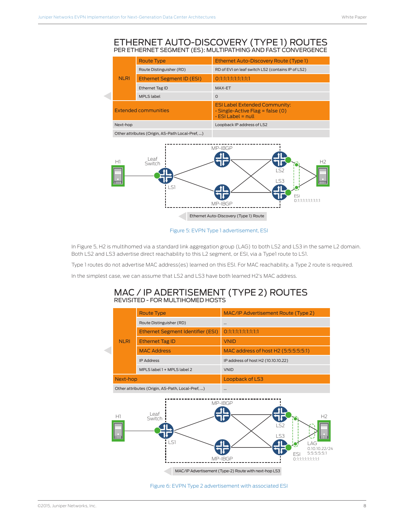### <span id="page-7-0"></span>ETHERNET AUTO-DISCOVERY (TYPE 1) ROUTES PER ETHERNET SEGMENT (ES): MULTIPATHING AND FAST CONVERGENCE

|  |             | <b>Route Type</b>                               | <b>Ethernet Auto-Discovery Route (Type 1)</b>                                                              |
|--|-------------|-------------------------------------------------|------------------------------------------------------------------------------------------------------------|
|  |             | Route Distinguisher (RD)                        | RD of EVI on leaf switch LS2 (contains IP of LS2)                                                          |
|  | <b>NLRI</b> | Ethernet Segment ID (ESI)                       | 0:1:1:1:1:1:1:1:1:1                                                                                        |
|  |             | <b>Ethernet Tag ID</b>                          | MAX-ET                                                                                                     |
|  |             | <b>MPLS</b> label                               | $\Omega$                                                                                                   |
|  |             | Extended communities                            | <b>ESI Label Extended Community:</b><br>$\cdot$ Single-Active Flag = false (0)<br>$\cdot$ ESI Label = null |
|  | Next-hop    |                                                 | Loopback IP address of LS2                                                                                 |
|  |             | Other attributes (Origin, AS-Path Local-Pref, ) |                                                                                                            |
|  | H.          | l eat<br>Switch                                 | MP-IBGP                                                                                                    |



#### Figure 5: EVPN Type 1 advertisement, ESI

In Figure 5, H2 is multihomed via a standard link aggregation group (LAG) to both LS2 and LS3 in the same L2 domain. Both LS2 and LS3 advertise direct reachability to this L2 segment, or ESI, via a Type1 route to LS1.

Type 1 routes do not advertise MAC address(es) learned on this ESI. For MAC reachability, a Type 2 route is required.

In the simplest case, we can assume that LS2 and LS3 have both learned H2's MAC address.

### MAC / IP ADERTISEMENT (TYPE 2) ROUTES REVISITED - FOR MULTIHOMED HOSTS

|             | <b>Route Type</b>                                | MAC/IP Advertisement Route (Type 2)                                                                                                                                                                   |  |  |  |  |
|-------------|--------------------------------------------------|-------------------------------------------------------------------------------------------------------------------------------------------------------------------------------------------------------|--|--|--|--|
|             | Route Distinguisher (RD)                         |                                                                                                                                                                                                       |  |  |  |  |
|             | <b>Ethernet Segment Identifier (ESI)</b>         | 0:1:1:1:1:1:1:1:1:1                                                                                                                                                                                   |  |  |  |  |
| <b>NLRI</b> | <b>Ethernet Tag ID</b>                           | <b>VNID</b>                                                                                                                                                                                           |  |  |  |  |
|             | <b>MAC Address</b>                               | MAC address of host H2 (5:5:5:5:5:1)                                                                                                                                                                  |  |  |  |  |
|             | <b>IP Address</b>                                | IP address of host H2 (10.10.10.22)                                                                                                                                                                   |  |  |  |  |
|             | MPLS label 1 + MPLS label 2                      | <b>VNID</b>                                                                                                                                                                                           |  |  |  |  |
| Next-hop    |                                                  | Loopback of LS3                                                                                                                                                                                       |  |  |  |  |
|             | Other attributes (Origin, AS-Path, Local-Pref, ) |                                                                                                                                                                                                       |  |  |  |  |
| H1          | Leaf<br>Switch<br>.S1                            | MP-IBGP<br>H <sub>2</sub><br>52<br>I S3<br><b>Hillis</b><br>I AG<br>0.10.10.22/24<br>5:5:5:5:5:1<br><b>FSI</b><br>MP-IBGP<br>Oststetetstetet<br>MAC/IP Advertisement (Type-2) Route with next-hop LS3 |  |  |  |  |

#### Figure 6: EVPN Type 2 advertisement with associated ESI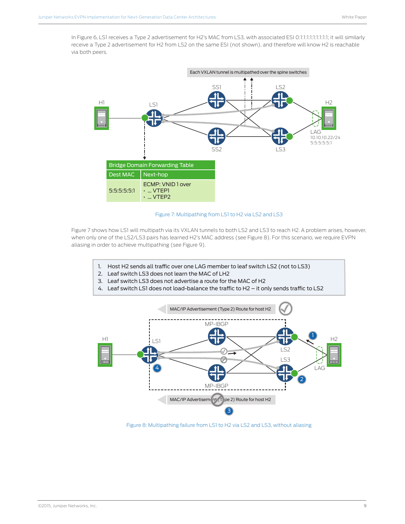<span id="page-8-0"></span>In Figure 6, LS1 receives a Type 2 advertisement for H2's MAC from LS3, with associated ESI 0:1:1:1:1:1:1:1:1:1; it will similarly receive a Type 2 advertisement for H2 from LS2 on the same ESI (not shown), and therefore will know H2 is reachable via both peers.



Figure 7: Multipathing from LS1 to H2 via LS2 and LS3

Figure 7 shows how LS1 will multipath via its VXLAN tunnels to both LS2 and LS3 to reach H2. A problem arises, however, when only one of the LS2/LS3 pairs has learned H2's MAC address (see Figure 8). For this scenario, we require EVPN aliasing in order to achieve multipathing (see Figure 9).

- 1. Host H2 sends all traffic over one LAG member to leaf switch LS2 (not to LS3)
- 2. Leaf switch LS3 does not learn the MAC of LH2
- 3. Leaf switch LS3 does not advertise a route for the MAC of H2
- 4. Leaf switch LS1 does not load-balance the traffic to H2  $-$  it only sends traffic to LS2



Figure 8: Multipathing failure from LS1 to H2 via LS2 and LS3, without aliasing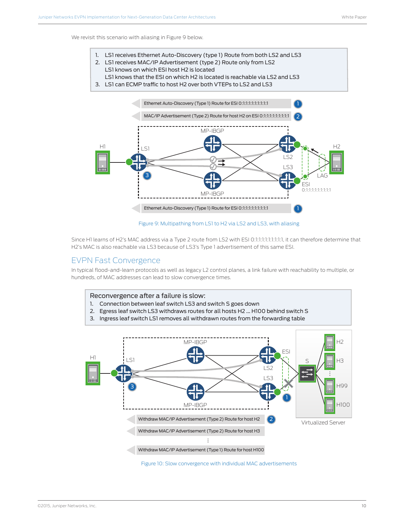<span id="page-9-0"></span>We revisit this scenario with aliasing in Figure 9 below.

- 1. LS1 receives Ethernet Auto-Discovery (type 1) Route from both LS2 and LS3
- 2. LS1 receives MAC/IP Advertisement (type 2) Route only from LS2
- LS1 knows on which ESI host H2 is located LS1 knows that the ESI on which H2 is located is reachable via LS2 and LS3
- 3. LS1 can ECMP traffic to host H2 over both VTEPs to LS2 and LS3



Figure 9: Multipathing from LS1 to H2 via LS2 and LS3, with aliasing

Since H1 learns of H2's MAC address via a Type 2 route from LS2 with ESI 0:1:1:1:1:1:1:1:1:1, it can therefore determine that H2's MAC is also reachable via LS3 because of LS3's Type 1 advertisement of this same ESI.

### EVPN Fast Convergence

In typical flood-and-learn protocols as well as legacy L2 control planes, a link failure with reachability to multiple, or hundreds, of MAC addresses can lead to slow convergence times.



- 1. Connection between leaf switch LS3 and switch S goes down
- 2. Egress leaf switch LS3 withdraws routes for all hosts H2 ... H100 behind switch S
- 3. Ingress leaf switch LS1 removes all withdrawn routes from the forwarding table



Figure 10: Slow convergence with individual MAC advertisements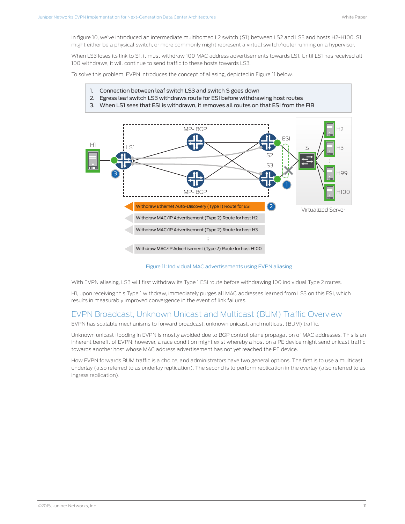<span id="page-10-0"></span>In figure 10, we've introduced an intermediate multihomed L2 switch (S1) between LS2 and LS3 and hosts H2-H100. S1 might either be a physical switch, or more commonly might represent a virtual switch/router running on a hypervisor.

When LS3 loses its link to S1, it must withdraw 100 MAC address advertisements towards LS1. Until LS1 has received all 100 withdraws, it will continue to send traffic to these hosts towards LS3.

To solve this problem, EVPN introduces the concept of aliasing, depicted in Figure 11 below.

- 1. Connection between leaf switch LS3 and switch S goes down
- 2. Egress leaf switch LS3 withdraws route for ESI before withdrawing host routes
- 3. When LS1 sees that ESI is withdrawn, it removes all routes on that ESI from the FIB



Figure 11: Individual MAC advertisements using EVPN aliasing

With EVPN aliasing, LS3 will first withdraw its Type 1 ESI route before withdrawing 100 individual Type 2 routes.

H1, upon receiving this Type 1 withdraw, immediately purges all MAC addresses learned from LS3 on this ESI, which results in measurably improved convergence in the event of link failures.

### EVPN Broadcast, Unknown Unicast and Multicast (BUM) Traffic Overview

EVPN has scalable mechanisms to forward broadcast, unknown unicast, and multicast (BUM) traffic.

Unknown unicast flooding in EVPN is mostly avoided due to BGP control plane propagation of MAC addresses. This is an inherent benefit of EVPN; however, a race condition might exist whereby a host on a PE device might send unicast traffic towards another host whose MAC address advertisement has not yet reached the PE device.

How EVPN forwards BUM traffic is a choice, and administrators have two general options. The first is to use a multicast underlay (also referred to as underlay replication). The second is to perform replication in the overlay (also referred to as ingress replication).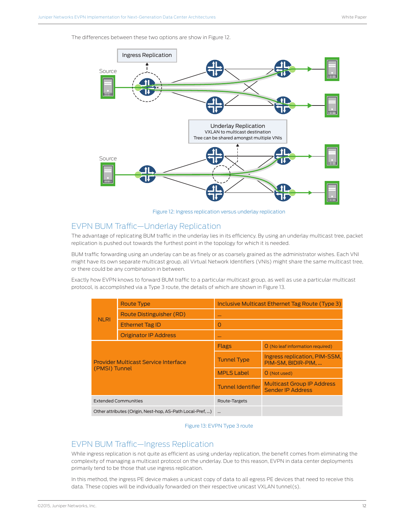<span id="page-11-0"></span>The differences between these two options are show in Figure 12.



Figure 12: Ingress replication versus underlay replication

### EVPN BUM Traffic—Underlay Replication

The advantage of replicating BUM traffic in the underlay lies in its efficiency. By using an underlay multicast tree, packet replication is pushed out towards the furthest point in the topology for which it is needed.

BUM traffic forwarding using an underlay can be as finely or as coarsely grained as the administrator wishes. Each VNI might have its own separate multicast group, all Virtual Network Identifiers (VNIs) might share the same multicast tree, or there could be any combination in between.

Exactly how EVPN knows to forward BUM traffic to a particular multicast group, as well as use a particular multicast protocol, is accomplished via a Type 3 route, the details of which are shown in Figure 13.

|                                                           | <b>Route Type</b>            | Inclusive Multicast Ethernet Tag Route (Type 3) |                                                               |  |  |
|-----------------------------------------------------------|------------------------------|-------------------------------------------------|---------------------------------------------------------------|--|--|
| <b>NLRI</b>                                               | Route Distinguisher (RD)     |                                                 |                                                               |  |  |
|                                                           | <b>Ethernet Tag ID</b>       | O                                               |                                                               |  |  |
|                                                           | <b>Originator IP Address</b> |                                                 |                                                               |  |  |
|                                                           |                              | <b>Flags</b>                                    | O (No leaf information required)                              |  |  |
| Provider Multicast Service Interface                      |                              | <b>Tunnel Type</b>                              | Ingress replication, PIM-SSM,<br>PIM-SM, BIDIR-PIM            |  |  |
| (PMSI) Tunnel                                             |                              | <b>MPLS Label</b>                               | O (Not used)                                                  |  |  |
|                                                           |                              | <b>Tunnel Identifier</b>                        | <b>Multicast Group IP Address</b><br><b>Sender IP Address</b> |  |  |
| <b>Extended Communities</b>                               |                              | Route-Targets                                   |                                                               |  |  |
| Other attributes (Origin, Nest-hop, AS-Path Local-Pref, ) |                              |                                                 |                                                               |  |  |

#### Figure 13: EVPN Type 3 route

### EVPN BUM Traffic—Ingress Replication

While ingress replication is not quite as efficient as using underlay replication, the benefit comes from eliminating the complexity of managing a multicast protocol on the underlay. Due to this reason, EVPN in data center deployments primarily tend to be those that use ingress replication.

In this method, the ingress PE device makes a unicast copy of data to all egress PE devices that need to receive this data. These copies will be individually forwarded on their respective unicast VXLAN tunnel(s).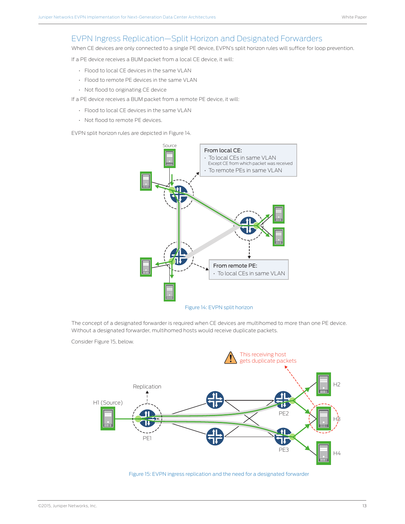### <span id="page-12-0"></span>EVPN Ingress Replication—Split Horizon and Designated Forwarders

When CE devices are only connected to a single PE device, EVPN's split horizon rules will suffice for loop prevention.

If a PE device receives a BUM packet from a local CE device, it will:

- Flood to local CE devices in the same VLAN
- Flood to remote PE devices in the same VLAN
- Not flood to originating CE device

If a PE device receives a BUM packet from a remote PE device, it will:

- Flood to local CE devices in the same VLAN
- Not flood to remote PE devices.

EVPN split horizon rules are depicted in Figure 14.



The concept of a designated forwarder is required when CE devices are multihomed to more than one PE device. Without a designated forwarder, multihomed hosts would receive duplicate packets.

Consider Figure 15, below.



Figure 15: EVPN ingress replication and the need for a designated forwarder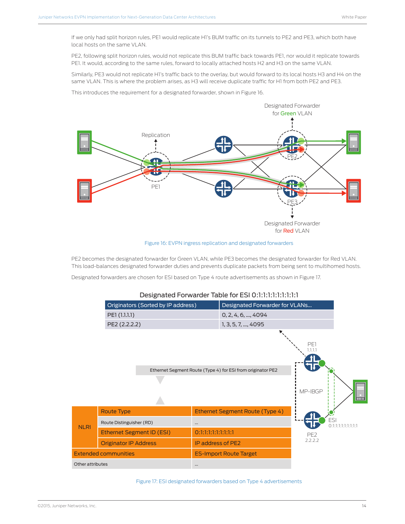<span id="page-13-0"></span>If we only had split horizon rules, PE1 would replicate H1's BUM traffic on its tunnels to PE2 and PE3, which both have local hosts on the same VLAN.

PE2, following split horizon rules, would not replicate this BUM traffic back towards PE1, nor would it replicate towards PE1. It would, according to the same rules, forward to locally attached hosts H2 and H3 on the same VLAN.

Similarly, PE3 would not replicate H1's traffic back to the overlay, but would forward to its local hosts H3 and H4 on the same VLAN. This is where the problem arises, as H3 will receive duplicate traffic for H1 from both PE2 and PE3.

This introduces the requirement for a designated forwarder, shown in Figure 16.



Figure 16: EVPN ingress replication and designated forwarders

PE2 becomes the designated forwarder for Green VLAN, while PE3 becomes the designated forwarder for Red VLAN. This load-balances designated forwarder duties and prevents duplicate packets from being sent to multihomed hosts.

Designated forwarders are chosen for ESI based on Type 4 route advertisements as shown in Figure 17.

|                  |                              | Originators (Sorted by IP address) |                          | Designated Forwarder for VLANs                              |                           |                     |
|------------------|------------------------------|------------------------------------|--------------------------|-------------------------------------------------------------|---------------------------|---------------------|
|                  | PE1 (1.1.1.1)                |                                    |                          | $0, 2, 4, 6, \dots, 4094$                                   |                           |                     |
|                  | PE2 (2.2.2.2)                |                                    |                          | 1, 3, 5, 7, , 4095                                          |                           |                     |
|                  |                              |                                    |                          | Ethernet Segment Route (Type 4) for ESI from originator PE2 | PE1<br>1.1.1.1<br>MP-IBGP |                     |
|                  | <b>Route Type</b>            |                                    |                          | Ethernet Segment Route (Type 4)                             |                           |                     |
| <b>NLRI</b>      | Route Distinguisher (RD)     |                                    | $\cdots$                 |                                                             | <b>ESI</b>                | 0:1:1:1:1:1:1:1:1:1 |
|                  |                              | <b>Ethernet Segment ID (ESI)</b>   | 0:1:1:1:1:1:1:1:1:1      |                                                             | PE <sub>2</sub>           |                     |
|                  | <b>Originator IP Address</b> |                                    | <b>IP address of PE2</b> |                                                             | 2.2.2.2                   |                     |
|                  | <b>Extended communities</b>  |                                    |                          | <b>ES-Import Route Target</b>                               |                           |                     |
| Other attributes |                              |                                    | $\cdots$                 |                                                             |                           |                     |

### Designated Forwarder Table for ESI 0:1:1:1:1:1:1:1:1:1

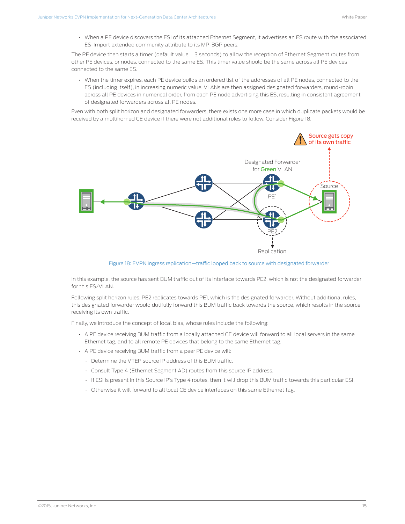<span id="page-14-0"></span>• When a PE device discovers the ESI of its attached Ethernet Segment, it advertises an ES route with the associated ES-Import extended community attribute to its MP-BGP peers.

The PE device then starts a timer (default value = 3 seconds) to allow the reception of Ethernet Segment routes from other PE devices, or nodes, connected to the same ES. This timer value should be the same across all PE devices connected to the same ES.

• When the timer expires, each PE device builds an ordered list of the addresses of all PE nodes, connected to the ES (including itself), in increasing numeric value. VLANs are then assigned designated forwarders, round-robin across all PE devices in numerical order, from each PE node advertising this ES, resulting in consistent agreement of designated forwarders across all PE nodes.

Even with both split horizon and designated forwarders, there exists one more case in which duplicate packets would be received by a multihomed CE device if there were not additional rules to follow. Consider Figure 18.



Figure 18: EVPN ingress replication—traffic looped back to source with designated forwarder

In this example, the source has sent BUM traffic out of its interface towards PE2, which is not the designated forwarder for this ES/VLAN.

Following split horizon rules, PE2 replicates towards PE1, which is the designated forwarder. Without additional rules, this designated forwarder would dutifully forward this BUM traffic back towards the source, which results in the source receiving its own traffic.

Finally, we introduce the concept of local bias, whose rules include the following:

- A PE device receiving BUM traffic from a locally attached CE device will forward to all local servers in the same Ethernet tag, and to all remote PE devices that belong to the same Ethernet tag.
- A PE device receiving BUM traffic from a peer PE device will:
	- Determine the VTEP source IP address of this BUM traffic.
	- Consult Type 4 (Ethernet Segment AD) routes from this source IP address.
	- If ESI is present in this Source IP's Type 4 routes, then it will drop this BUM traffic towards this particular ESI.
	- Otherwise it will forward to all local CE device interfaces on this same Ethernet tag.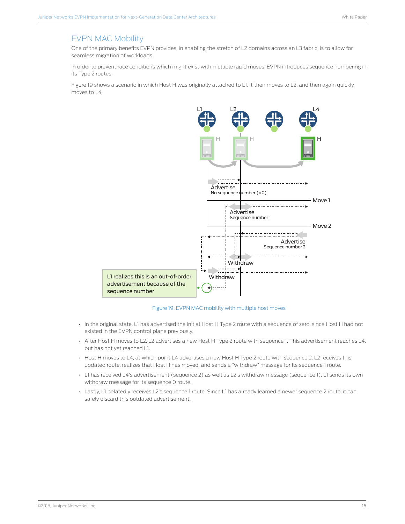### <span id="page-15-0"></span>EVPN MAC Mobility

One of the primary benefits EVPN provides, in enabling the stretch of L2 domains across an L3 fabric, is to allow for seamless migration of workloads.

In order to prevent race conditions which might exist with multiple rapid moves, EVPN introduces sequence numbering in its Type 2 routes.

Figure 19 shows a scenario in which Host H was originally attached to L1. It then moves to L2, and then again quickly moves to L4.



Figure 19: EVPN MAC mobility with multiple host moves

- In the original state, L1 has advertised the initial Host H Type 2 route with a sequence of zero, since Host H had not existed in the EVPN control plane previously.
- After Host H moves to L2, L2 advertises a new Host H Type 2 route with sequence 1. This advertisement reaches L4, but has not yet reached L1.
- Host H moves to L4, at which point L4 advertises a new Host H Type 2 route with sequence 2. L2 receives this updated route, realizes that Host H has moved, and sends a "withdraw" message for its sequence 1 route.
- L1 has received L4's advertisement (sequence 2) as well as L2's withdraw message (sequence 1). L1 sends its own withdraw message for its sequence 0 route.
- Lastly, L1 belatedly receives L2's sequence 1 route. Since L1 has already learned a newer sequence 2 route, it can safely discard this outdated advertisement.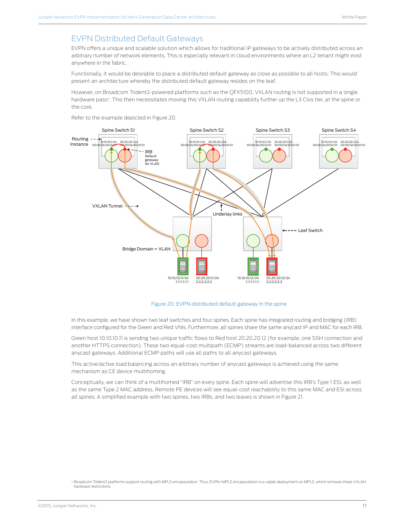### <span id="page-16-0"></span>EVPN Distributed Default Gateways

EVPN offers a unique and scalable solution which allows for traditional IP gateways to be actively distributed across an arbitrary number of network elements. This is especially relevant in cloud environments where an L2 tenant might exist anywhere in the fabric.

Functionally, it would be desirable to place a distributed default gateway as close as possible to all hosts. This would present an architecture whereby the distributed default gateway resides on the leaf.

However, on Broadcom Trident2-powered platforms such as the QFX5100, VXLAN routing is not supported in a single hardware pass<sup>4</sup>. This then necessitates moving this VXLAN routing capability further up the L3 Clos tier, at the spine or the core.

Refer to the example depicted in Figure 20.



#### Figure 20: EVPN distributed default gateway in the spine

In this example, we have shown two leaf switches and four spines. Each spine has integrated routing and bridging (IRB) interface configured for the Green and Red VNIs. Furthermore, all spines share the same anycast IP and MAC for each IRB.

Green host 10.10.10.11 is sending two unique traffic flows to Red host 20.20.20.12 (for example, one SSH connection and another HTTPS connection). These two equal-cost multipath (ECMP) streams are load-balanced across two different anycast gateways. Additional ECMP paths will use all paths to all anycast gateways.

This active/active load balancing across an arbitrary number of anycast gateways is achieved using the same mechanism as CE device multihoming.

Conceptually, we can think of a multihomed "IRB" on every spine. Each spine will advertise this IRB's Type 1 ESI, as well as the same Type 2 MAC address. Remote PE devices will see equal-cost reachability to this same MAC and ESI across all spines. A simplified example with two spines, two IRBs, and two leaves is shown in Figure 21.

<sup>4</sup> Broadcom Trident2 platforms support routing with MPLS encapsulation. Thus, EVPN+MPLS encapsulation is a viable deployment on MPLS, which removes these VXLAN hardware restrictions.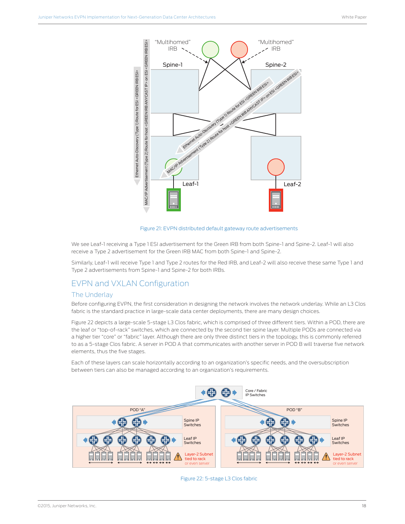<span id="page-17-0"></span>

Figure 21: EVPN distributed default gateway route advertisements

We see Leaf-1 receiving a Type 1 ESI advertisement for the Green IRB from both Spine-1 and Spine-2. Leaf-1 will also receive a Type 2 advertisement for the Green IRB MAC from both Spine-1 and Spine-2.

Similarly, Leaf-1 will receive Type 1 and Type 2 routes for the Red IRB, and Leaf-2 will also receive these same Type 1 and Type 2 advertisements from Spine-1 and Spine-2 for both IRBs.

### EVPN and VXLAN Configuration

#### The Underlay

Before configuring EVPN, the first consideration in designing the network involves the network underlay. While an L3 Clos fabric is the standard practice in large-scale data center deployments, there are many design choices.

Figure 22 depicts a large-scale 5-stage L3 Clos fabric, which is comprised of three different tiers. Within a POD, there are the leaf or "top-of-rack" switches, which are connected by the second tier spine layer. Multiple PODs are connected via a higher tier "core" or "fabric" layer. Although there are only three distinct tiers in the topology, this is commonly referred to as a 5-stage Clos fabric. A server in POD A that communicates with another server in POD B will traverse five network elements, thus the five stages.

Each of these layers can scale horizontally according to an organization's specific needs, and the oversubscription between tiers can also be managed according to an organization's requirements.



#### Figure 22: 5-stage L3 Clos fabric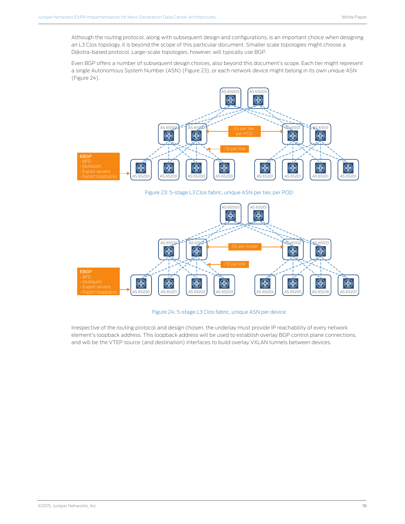<span id="page-18-0"></span>Although the routing protocol, along with subsequent design and configurations, is an important choice when designing an L3 Clos topology, it is beyond the scope of this particular document. Smaller scale topologies might choose a Dijkstra-based protocol. Large-scale topologies, however, will typically use BGP.

Even BGP offers a number of subsequent design choices, also beyond this document's scope. Each tier might represent a single Autonomous System Number (ASN) (Figure 23), or each network device might belong in its own unique ASN (Figure 24).



Figure 23: 5-stage L3 Clos fabric, unique ASN per tier, per POD



Figure 24: 5-stage L3 Clos fabric, unique ASN per device

Irrespective of the routing protocol and design chosen, the underlay must provide IP reachability of every network element's loopback address. This loopback address will be used to establish overlay BGP control plane connections, and will be the VTEP source (and destination) interfaces to build overlay VXLAN tunnels between devices.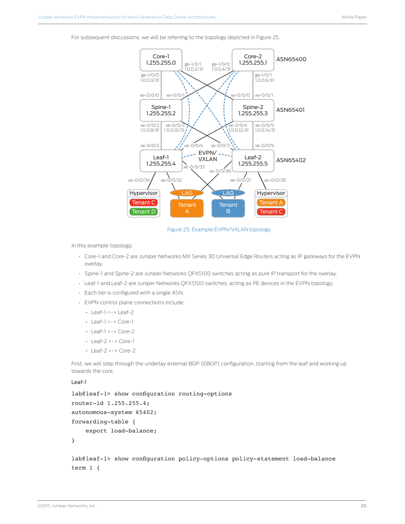<span id="page-19-0"></span>For subsequent discussions, we will be referring to the topology depicted in Figure 25.



Figure 25: Example EVPN/VXLAN topology

In this example topology:

- Core-1 and Core-2 are Juniper Networks MX Series 3D Universal Edge Routers acting as IP gateways for the EVPN overlay.
- Spine-1 and Spine-2 are Juniper Networks QFX5100 switches acting as pure IP transport for the overlay.
- Leaf-1 and Leaf-2 are Juniper Networks QFX5100 switches, acting as PE devices in the EVPN topology.
- Each tier is configured with a single ASN.
- EVPN control plane connections include:
	- Leaf-1 <-> Leaf-2
	- Leaf-1 <-> Core-1
	- Leaf-1 <-> Core-2
	- Leaf-2 <-> Core-1
	- Leaf-2 <-> Core-2

First, we will step through the underlay external BGP (EBGP) configuration, starting from the leaf and working up towards the core.

#### Leaf-1

```
lab@leaf-1> show configuration routing-options 
router-id 1.255.255.4;
autonomous-system 65402;
forwarding-table {
     export load-balance;
```
}

lab@leaf-1> show configuration policy-options policy-statement load-balance term 1 {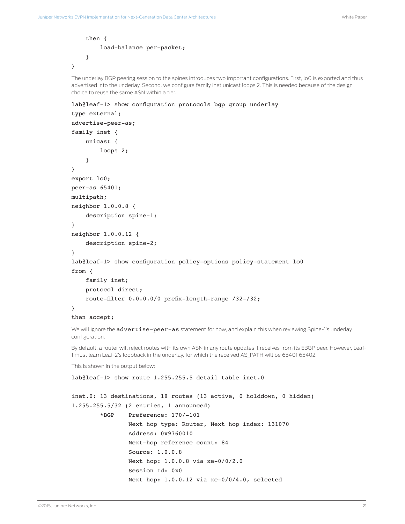```
 then {
     load-balance per-packet;
 }
```
}

The underlay BGP peering session to the spines introduces two important configurations. First, lo0 is exported and thus advertised into the underlay. Second, we configure family inet unicast loops 2. This is needed because of the design choice to reuse the same ASN within a tier.

```
lab@leaf-1> show configuration protocols bgp group underlay
```

```
type external;
advertise-peer-as;
family inet {
     unicast {
         loops 2;
     }
}
export lo0;
peer-as 65401;
multipath;
neighbor 1.0.0.8 {
     description spine-1;
}
neighbor 1.0.0.12 {
     description spine-2;
}
lab@leaf-1> show configuration policy-options policy-statement lo0 
from {
     family inet;
     protocol direct;
     route-filter 0.0.0.0/0 prefix-length-range /32-/32;
}
then accept;
```
We will ignore the advertise-peer-as statement for now, and explain this when reviewing Spine-1's underlay configuration.

By default, a router will reject routes with its own ASN in any route updates it receives from its EBGP peer. However, Leaf-1 must learn Leaf-2's loopback in the underlay, for which the received AS\_PATH will be 65401 65402.

This is shown in the output below:

lab@leaf-1> show route 1.255.255.5 detail table inet.0

```
inet.0: 13 destinations, 18 routes (13 active, 0 holddown, 0 hidden)
1.255.255.5/32 (2 entries, 1 announced)
         *BGP Preference: 170/-101
                 Next hop type: Router, Next hop index: 131070
                 Address: 0x9760010
                 Next-hop reference count: 84
                 Source: 1.0.0.8
                 Next hop: 1.0.0.8 via xe-0/0/2.0
                 Session Id: 0x0
                 Next hop: 1.0.0.12 via xe-0/0/4.0, selected
```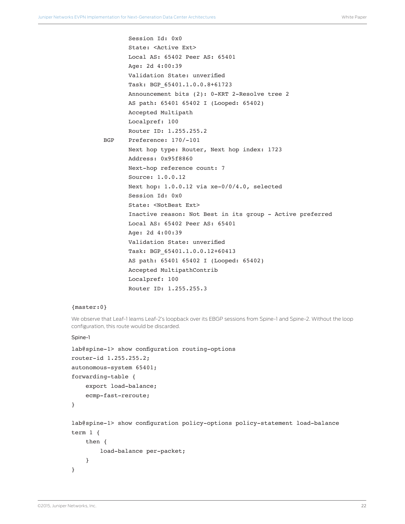```
 Session Id: 0x0
        State: <Active Ext>
        Local AS: 65402 Peer AS: 65401
        Age: 2d 4:00:39 
        Validation State: unverified 
        Task: BGP_65401.1.0.0.8+61723
        Announcement bits (2): 0-KRT 2-Resolve tree 2 
        AS path: 65401 65402 I (Looped: 65402)
        Accepted Multipath
        Localpref: 100
        Router ID: 1.255.255.2
 BGP Preference: 170/-101
        Next hop type: Router, Next hop index: 1723
        Address: 0x95f8860
        Next-hop reference count: 7
        Source: 1.0.0.12
        Next hop: 1.0.0.12 via xe-0/0/4.0, selected
        Session Id: 0x0
        State: <NotBest Ext>
        Inactive reason: Not Best in its group - Active preferred
        Local AS: 65402 Peer AS: 65401
        Age: 2d 4:00:39 
        Validation State: unverified 
        Task: BGP_65401.1.0.0.12+60413
        AS path: 65401 65402 I (Looped: 65402)
        Accepted MultipathContrib
        Localpref: 100 
        Router ID: 1.255.255.3
```
#### {master:0}

We observe that Leaf-1 learns Leaf-2's loopback over its EBGP sessions from Spine-1 and Spine-2. Without the loop configuration, this route would be discarded.

#### Spine-1

```
lab@spine-1> show configuration routing-options
```

```
router-id 1.255.255.2;
autonomous-system 65401;
forwarding-table {
     export load-balance;
     ecmp-fast-reroute;
```

```
}
```
lab@spine-1> show configuration policy-options policy-statement load-balance term 1 {

```
 then {
          load-balance per-packet;
     }
}
```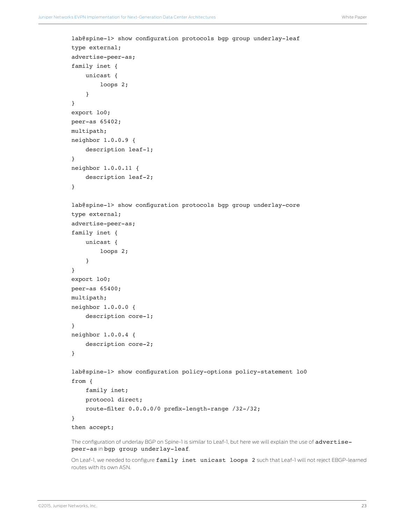```
lab@spine-1> show configuration protocols bgp group underlay-leaf 
type external;
advertise-peer-as;
family inet {
     unicast {
         loops 2;
     }
}
export lo0;
peer-as 65402;
multipath;
neighbor 1.0.0.9 {
     description leaf-1;
}
neighbor 1.0.0.11 {
     description leaf-2;
}
lab@spine-1> show configuration protocols bgp group underlay-core
type external;
advertise-peer-as;
family inet {
     unicast {
         loops 2;
     }
}
export lo0;
peer-as 65400;
multipath;
neighbor 1.0.0.0 {
     description core-1;
}
neighbor 1.0.0.4 {
     description core-2;
}
lab@spine-1> show configuration policy-options policy-statement lo0 
from {
     family inet;
     protocol direct;
     route-filter 0.0.0.0/0 prefix-length-range /32-/32;
}
then accept;
```
The configuration of underlay BGP on Spine-1 is similar to Leaf-1, but here we will explain the use of advertisepeer-as in bgp group underlay-leaf.

On Leaf-1, we needed to configure family inet unicast loops 2 such that Leaf-1 will not reject EBGP-learned routes with its own ASN.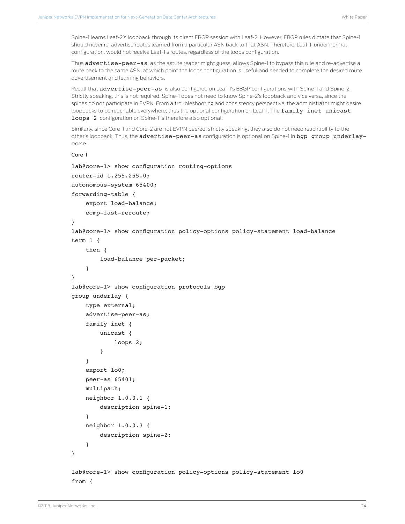Spine-1 learns Leaf-2's loopback through its direct EBGP session with Leaf-2. However, EBGP rules dictate that Spine-1 should never re-advertise routes learned from a particular ASN back to that ASN. Therefore, Leaf-1, under normal configuration, would not receive Leaf-1's routes, regardless of the loops configuration.

Thus **advertise-peer-as**, as the astute reader might guess, allows Spine-1 to bypass this rule and re-advertise a route back to the same ASN, at which point the loops configuration is useful and needed to complete the desired route advertisement and learning behaviors.

Recall that **advertise-peer-as** is also configured on Leaf-1's EBGP configurations with Spine-1 and Spine-2. Strictly speaking, this is not required. Spine-1 does not need to know Spine-2's loopback and vice versa, since the spines do not participate in EVPN. From a troubleshooting and consistency perspective, the administrator might desire loopbacks to be reachable everywhere, thus the optional configuration on Leaf-1. The family inet unicast loops 2 configuration on Spine-1 is therefore also optional.

Similarly, since Core-1 and Core-2 are not EVPN peered, strictly speaking, they also do not need reachability to the other's loopback. Thus, the advertise-peer-as configuration is optional on Spine-1 in bgp group underlaycore.

```
Core-1
```

```
lab@core-1> show configuration routing-options
router-id 1.255.255.0;
autonomous-system 65400;
forwarding-table {
     export load-balance;
     ecmp-fast-reroute;
}
lab@core-1> show configuration policy-options policy-statement load-balance 
term 1 {
     then {
         load-balance per-packet;
     }
}
lab@core-1> show configuration protocols bgp 
group underlay {
     type external;
     advertise-peer-as;
     family inet {
         unicast {
              loops 2;
         }
     }
     export lo0;
     peer-as 65401;
     multipath;
     neighbor 1.0.0.1 {
         description spine-1;
     }
     neighbor 1.0.0.3 {
         description spine-2;
     }
}
lab@core-1> show configuration policy-options policy-statement lo0
from {
```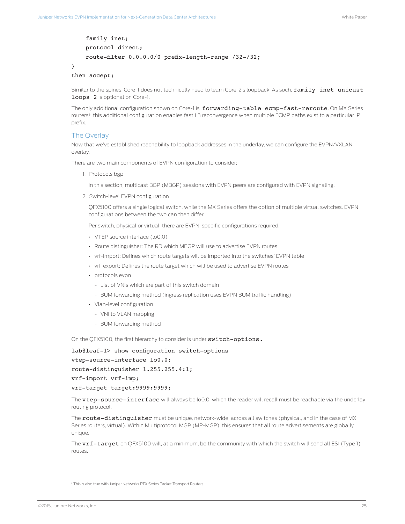```
 family inet;
     protocol direct;
     route-filter 0.0.0.0/0 prefix-length-range /32-/32;
}
```

```
then accept;
```
Similar to the spines, Core-1 does not technically need to learn Core-2's loopback. As such, family inet unicast loops 2 is optional on Core-1.

The only additional configuration shown on Core-1 is forwarding-table ecmp-fast-reroute. On MX Series routers5, this additional configuration enables fast L3 reconvergence when multiple ECMP paths exist to a particular IP prefix.

### The Overlay

Now that we've established reachability to loopback addresses in the underlay, we can configure the EVPN/VXLAN overlay.

There are two main components of EVPN configuration to consider:

1. Protocols bgp

In this section, multicast BGP (MBGP) sessions with EVPN peers are configured with EVPN signaling.

2. Switch-level EVPN configuration

QFX5100 offers a single logical switch, while the MX Series offers the option of multiple virtual switches. EVPN configurations between the two can then differ.

Per switch, physical or virtual, there are EVPN-specific configurations required:

- VTEP source interface (lo0.0)
- Route distinguisher: The RD which MBGP will use to advertise EVPN routes
- vrf-import: Defines which route targets will be imported into the switches' EVPN table
- vrf-export: Defines the route target which will be used to advertise EVPN routes
- protocols evpn
	- List of VNIs which are part of this switch domain
	- BUM forwarding method (ingress replication uses EVPN BUM traffic handling)
- Vlan-level configuration
	- VNI to VLAN mapping
	- BUM forwarding method

On the QFX5100, the first hierarchy to consider is under switch-options.

lab@leaf-1> show configuration switch-options vtep-source-interface lo0.0; route-distinguisher 1.255.255.4:1; vrf-import vrf-imp;

vrf-target target:9999:9999;

The vtep-source-interface will always be lo0.0, which the reader will recall must be reachable via the underlay routing protocol.

The route-distinguisher must be unique, network-wide, across all switches (physical, and in the case of MX Series routers, virtual). Within Multiprotocol MGP (MP-MGP), this ensures that all route advertisements are globally unique.

The **vrf-target** on OFX5100 will, at a minimum, be the community with which the switch will send all ESI (Type 1) routes.

<sup>5</sup> This is also true with Juniper Networks PTX Series Packet Transport Routers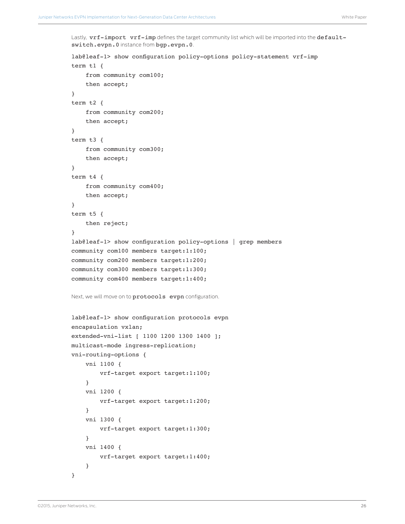Lastly,  $\texttt{vrf-import vrf-imp}$  defines the target community list which will be imported into the defaultswitch.evpn.0 instance from bgp.evpn.0.

```
lab@leaf-1> show configuration policy-options policy-statement vrf-imp 
term t1 {
     from community com100;
     then accept;
}
term t2 {
     from community com200;
     then accept;
}
term t3 {
     from community com300;
     then accept;
}
term t4 {
     from community com400;
     then accept;
}
term t5 {
     then reject;
}
lab@leaf-1> show configuration policy-options | grep members 
community com100 members target:1:100;
community com200 members target:1:200;
community com300 members target:1:300;
community com400 members target:1:400;
Next, we will move on to protocols evpn configuration.
lab@leaf-1> show configuration protocols evpn
encapsulation vxlan;
extended-vni-list [ 1100 1200 1300 1400 ];
multicast-mode ingress-replication;
vni-routing-options {
     vni 1100 {
         vrf-target export target:1:100;
     }
     vni 1200 {
         vrf-target export target:1:200;
     }
     vni 1300 {
         vrf-target export target:1:300;
     }
     vni 1400 {
         vrf-target export target:1:400;
     }
}
```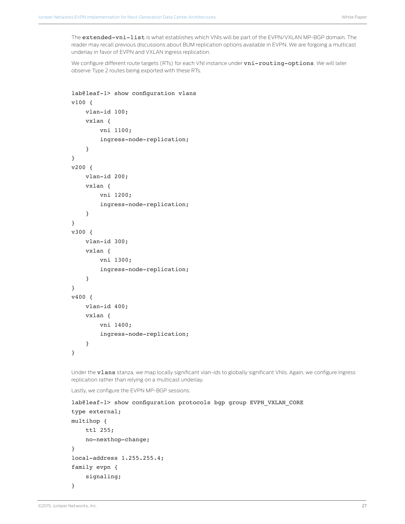The extended-vni-list is what establishes which VNIs will be part of the EVPN/VXLAN MP-BGP domain. The reader may recall previous discussions about BUM replication options available in EVPN. We are forgoing a multicast underlay in favor of EVPN and VXLAN ingress replication.

We configure different route targets (RTs) for each VNI instance under vni-routing-options. We will later observe Type 2 routes being exported with these RTs.

```
lab@leaf-1> show configuration vlans 
v100 {
     vlan-id 100;
     vxlan {
          vni 1100;
          ingress-node-replication;
     }
}
v200 {
     vlan-id 200;
     vxlan {
          vni 1200;
          ingress-node-replication;
     }
}
v300 {
     vlan-id 300;
     vxlan {
          vni 1300;
          ingress-node-replication;
     }
}
v400 {
     vlan-id 400;
     vxlan {
          vni 1400;
          ingress-node-replication;
     }
}
```
Under the vlans stanza, we map locally significant vlan-ids to globally significant VNIs. Again, we configure ingress replication rather than relying on a multicast underlay.

Lastly, we configure the EVPN MP-BGP sessions.

```
lab@leaf-1> show configuration protocols bgp group EVPN_VXLAN_CORE 
type external;
multihop {
     ttl 255;
     no-nexthop-change;
}
local-address 1.255.255.4;
family evpn {
     signaling;
}
```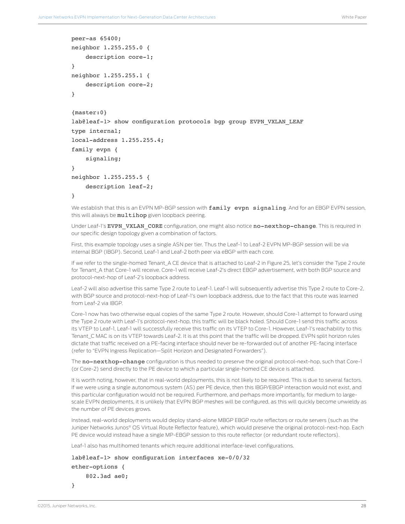```
peer-as 65400;
neighbor 1.255.255.0 {
    description core-1;
}
neighbor 1.255.255.1 {
    description core-2;
}
{master:0}
lab@leaf-1> show configuration protocols bgp group EVPN VXLAN LEAF
type internal;
local-address 1.255.255.4;
family evpn {
     signaling;
}
neighbor 1.255.255.5 {
     description leaf-2;
}
```
We establish that this is an EVPN MP-BGP session with family evpn signaling. And for an EBGP EVPN session, this will always be multihop given loopback peering.

Under Leaf-1's EVPN VXLAN CORE configuration, one might also notice no-nexthop-change. This is required in our specific design topology given a combination of factors.

First, this example topology uses a single ASN per tier. Thus the Leaf-1 to Leaf-2 EVPN MP-BGP session will be via internal BGP (IBGP). Second, Leaf-1 and Leaf-2 both peer via eBGP with each core.

If we refer to the single-homed Tenant\_A CE device that is attached to Leaf-2 in Figure 25, let's consider the Type 2 route for Tenant A that Core-1 will receive. Core-1 will receive Leaf-2's direct EBGP advertisement, with both BGP source and protocol-next-hop of Leaf-2's loopback address.

Leaf-2 will also advertise this same Type 2 route to Leaf-1. Leaf-1 will subsequently advertise this Type 2 route to Core-2, with BGP source and protocol-next-hop of Leaf-1's own loopback address, due to the fact that this route was learned from Leaf-2 via IBGP.

Core-1 now has two otherwise equal copies of the same Type 2 route. However, should Core-1 attempt to forward using the Type 2 route with Leaf-1's protocol-next-hop, this traffic will be black holed. Should Core-1 send this traffic across its VTEP to Leaf-1, Leaf-1 will successfully receive this traffic on its VTEP to Core-1. However, Leaf-1's reachability to this Tenant\_C MAC is on its VTEP towards Leaf-2. It is at this point that the traffic will be dropped. EVPN split horizon rules dictate that traffic received on a PE-facing interface should never be re-forwarded out of another PE-facing interface (refer to "EVPN Ingress Replication—Split Horizon and Designated Forwarders").

The no-nexthop-change configuration is thus needed to preserve the original protocol-next-hop, such that Core-1 (or Core-2) send directly to the PE device to which a particular single-homed CE device is attached.

It is worth noting, however, that in real-world deployments, this is not likely to be required. This is due to several factors. If we were using a single autonomous system (AS) per PE device, then this IBGP/EBGP interaction would not exist, and this particular configuration would not be required. Furthermore, and perhaps more importantly, for medium to largescale EVPN deployments, it is unlikely that EVPN BGP meshes will be configured, as this will quickly become unwieldy as the number of PE devices grows.

Instead, real-world deployments would deploy stand-alone MBGP EBGP route reflectors or route servers (such as the Juniper Networks Junos® OS Virtual Route Reflector feature), which would preserve the original protocol-next-hop. Each PE device would instead have a single MP-EBGP session to this route reflector (or redundant route reflectors).

Leaf-1 also has multihomed tenants which require additional interface-level configurations.

lab@leaf-1> show configuration interfaces xe-0/0/32 ether-options { 802.3ad ae0;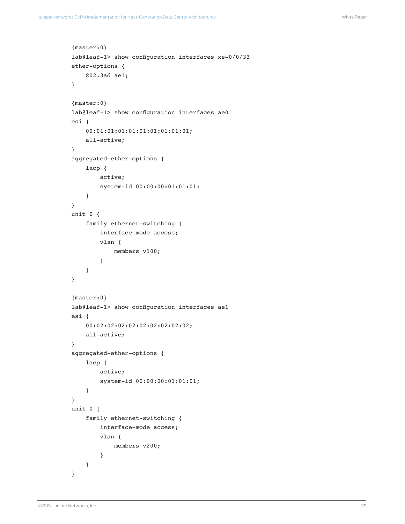```
{master:0}
lab@leaf-1> show configuration interfaces xe-0/0/33 
ether-options {
     802.3ad ae1;
}
{master:0}
lab@leaf-1> show configuration interfaces ae0
esi {
     00:01:01:01:01:01:01:01:01:01;
     all-active;
}
aggregated-ether-options {
     lacp {
         active;
         system-id 00:00:00:01:01:01;
     }
}
unit 0 {
     family ethernet-switching {
         interface-mode access;
         vlan {
             members v100;
         }
     }
}
{master:0}
lab@leaf-1> show configuration interfaces ae1 
esi {
     00:02:02:02:02:02:02:02:02:02;
     all-active;
}
aggregated-ether-options {
     lacp {
         active;
         system-id 00:00:00:01:01:01;
     }
}
unit 0 {
     family ethernet-switching {
         interface-mode access;
         vlan {
             members v200;
         }
     }
}
```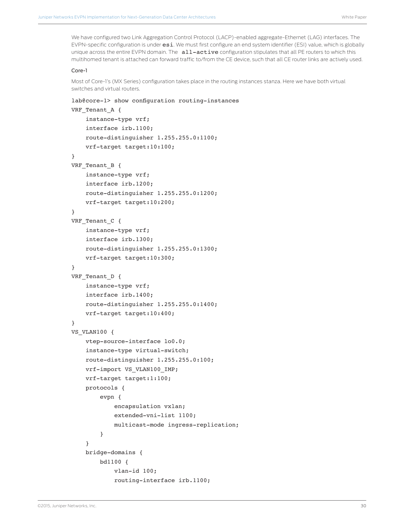We have configured two Link Aggregation Control Protocol (LACP)-enabled aggregate-Ethernet (LAG) interfaces. The EVPN-specific configuration is under esi. We must first configure an end system identifier (ESI) value, which is globally unique across the entire EVPN domain. The all-active configuration stipulates that all PE routers to which this multihomed tenant is attached can forward traffic to/from the CE device, such that all CE router links are actively used.

#### Core-1

Most of Core-1's (MX Series) configuration takes place in the routing instances stanza. Here we have both virtual switches and virtual routers.

```
lab@core-1> show configuration routing-instances 
VRF Tenant A {
     instance-type vrf;
     interface irb.1100;
     route-distinguisher 1.255.255.0:1100;
     vrf-target target:10:100;
}
VRF Tenant B {
     instance-type vrf;
     interface irb.1200;
     route-distinguisher 1.255.255.0:1200;
     vrf-target target:10:200;
}
VRF Tenant C \{ instance-type vrf;
     interface irb.1300;
     route-distinguisher 1.255.255.0:1300;
     vrf-target target:10:300;
}
VRF Tenant D {
     instance-type vrf;
     interface irb.1400;
     route-distinguisher 1.255.255.0:1400;
     vrf-target target:10:400;
}
VS VLAN100 {
     vtep-source-interface lo0.0;
     instance-type virtual-switch;
     route-distinguisher 1.255.255.0:100;
     vrf-import VS_VLAN100_IMP;
     vrf-target target:1:100;
     protocols {
         evpn {
             encapsulation vxlan;
             extended-vni-list 1100;
             multicast-mode ingress-replication;
         }
     }
     bridge-domains {
         bd1100 {
             vlan-id 100;
             routing-interface irb.1100;
```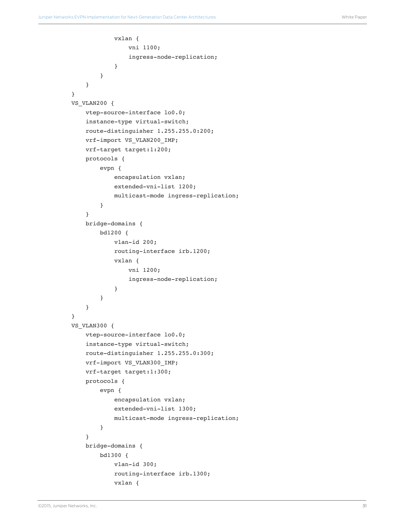```
 vxlan {
                  vni 1100;
                  ingress-node-replication;
 }
         }
     }
}
VS_VLAN200 {
     vtep-source-interface lo0.0;
     instance-type virtual-switch;
     route-distinguisher 1.255.255.0:200;
     vrf-import VS_VLAN200_IMP;
     vrf-target target:1:200;
     protocols {
         evpn {
             encapsulation vxlan;
             extended-vni-list 1200;
             multicast-mode ingress-replication;
         }
     }
     bridge-domains {
         bd1200 {
             vlan-id 200;
             routing-interface irb.1200;
             vxlan {
                  vni 1200;
                  ingress-node-replication;
 }
         }
     } 
}
VS_VLAN300 {
     vtep-source-interface lo0.0;
     instance-type virtual-switch;
     route-distinguisher 1.255.255.0:300;
     vrf-import VS_VLAN300_IMP;
     vrf-target target:1:300;
     protocols {
         evpn {
             encapsulation vxlan;
             extended-vni-list 1300;
             multicast-mode ingress-replication;
         }
     }
     bridge-domains {
         bd1300 {
             vlan-id 300;
             routing-interface irb.1300;
             vxlan {
```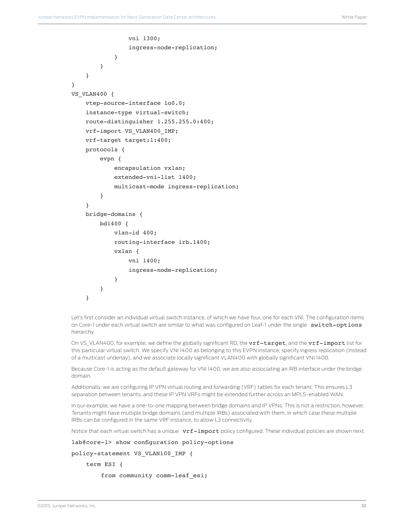```
 vni 1300;
                 ingress-node-replication;
 }
         }
     }
}
VS_VLAN400 {
     vtep-source-interface lo0.0;
     instance-type virtual-switch;
     route-distinguisher 1.255.255.0:400;
     vrf-import VS_VLAN400_IMP;
     vrf-target target:1:400;
     protocols {
         evpn {
             encapsulation vxlan;
             extended-vni-list 1400;
             multicast-mode ingress-replication;
 } 
     }
     bridge-domains {
         bd1400 {
             vlan-id 400;
             routing-interface irb.1400;
             vxlan {
                 vni 1400;
                 ingress-node-replication;
 }
         }
     }
```
Let's first consider an individual virtual switch instance, of which we have four, one for each VNI. The configuration items on Core-1 under each virtual switch are similar to what was configured on Leaf-1 under the single switch-options hierarchy.

On VS\_VLAN400, for example, we define the globally significant RD, the vrf-target, and the vrf-import list for this particular virtual switch. We specify VNI 1400 as belonging to this EVPN instance, specify ingress replication (instead of a multicast underlay), and we associate locally significant VLAN400 with globally significant VNI 1400.

Because Core-1 is acting as the default gateway for VNI 1400, we are also associating an IRB interface under the bridge domain.

Additionally, we are configuring IP VPN virtual routing and forwarding (VRF) tables for each tenant. This ensures L3 separation between tenants, and these IP VPN VRFs might be extended further across an MPLS-enabled WAN.

In our example, we have a one-to-one mapping between bridge domains and IP VPNs. This is not a restriction, however. Tenants might have multiple bridge domains (and multiple IRBs) associated with them, in which case these multiple IRBs can be configured in the same VRF instance, to allow L3 connectivity.

Notice that each virtual switch has a unique vrf-import policy configured. These individual policies are shown next.

```
lab@core-1> show configuration policy-options
```

```
policy-statement VS_VLAN100_IMP {
```
term ESI {

```
from community comm-leaf esi;
```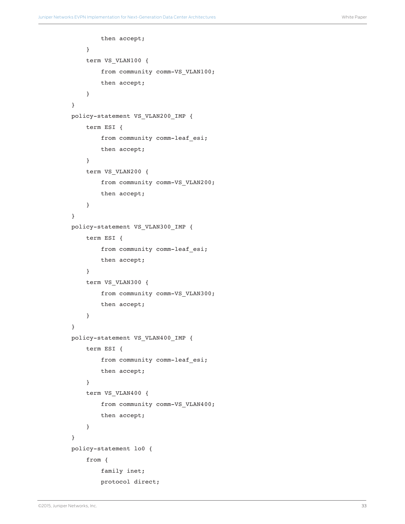```
 then accept;
     }
     term VS_VLAN100 {
         from community comm-VS_VLAN100;
         then accept;
     }
}
policy-statement VS_VLAN200_IMP {
     term ESI {
         from community comm-leaf_esi;
         then accept;
     }
     term VS_VLAN200 {
         from community comm-VS_VLAN200;
         then accept;
     }
}
policy-statement VS_VLAN300_IMP {
     term ESI {
         from community comm-leaf_esi;
         then accept;
     }
     term VS_VLAN300 {
         from community comm-VS_VLAN300;
         then accept;
     }
}
policy-statement VS_VLAN400_IMP {
     term ESI {
         from community comm-leaf_esi;
         then accept;
     }
     term VS_VLAN400 {
         from community comm-VS_VLAN400;
         then accept; 
     }
}
policy-statement lo0 {
     from {
         family inet;
         protocol direct;
```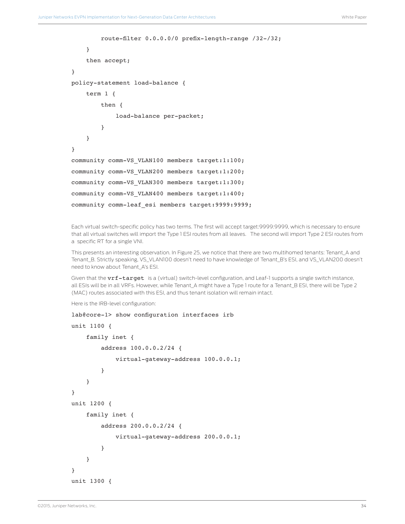```
 route-filter 0.0.0.0/0 prefix-length-range /32-/32;
     }
     then accept;
}
policy-statement load-balance {
     term 1 {
         then {
             load-balance per-packet;
         }
     }
}
community comm-VS_VLAN100 members target:1:100;
community comm-VS_VLAN200 members target:1:200;
community comm-VS_VLAN300 members target:1:300;
community comm-VS_VLAN400 members target:1:400;
community comm-leaf_esi members target:9999:9999;
```
Each virtual switch-specific policy has two terms. The first will accept target:9999:9999, which is necessary to ensure that all virtual switches will import the Type 1 ESI routes from all leaves. The second will import Type 2 ESI routes from a specific RT for a single VNI.

This presents an interesting observation. In Figure 25, we notice that there are two multihomed tenants: Tenant\_A and Tenant\_B. Strictly speaking, VS\_VLAN100 doesn't need to have knowledge of Tenant\_B's ESI, and VS\_VLAN200 doesn't need to know about Tenant\_A's ESI.

Given that the **vrf-target** is a (virtual) switch-level configuration, and Leaf-1 supports a single switch instance, all ESIs will be in all VRFs. However, while Tenant\_A might have a Type 1 route for a Tenant\_B ESI, there will be Type 2 (MAC) routes associated with this ESI, and thus tenant isolation will remain intact.

Here is the IRB-level configuration:

```
lab@core-1> show configuration interfaces irb
unit 1100 {
     family inet {
         address 100.0.0.2/24 {
              virtual-gateway-address 100.0.0.1;
         }
     }
}
unit 1200 {
     family inet {
         address 200.0.0.2/24 {
              virtual-gateway-address 200.0.0.1;
         }
     }
}
unit 1300 {
```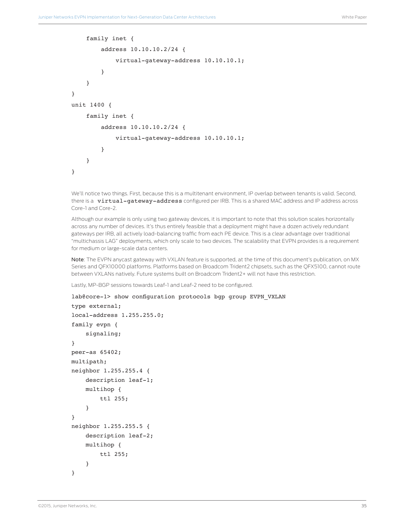```
 family inet {
          address 10.10.10.2/24 {
              virtual-gateway-address 10.10.10.1;
          }
     }
}
unit 1400 {
     family inet {
         address 10.10.10.2/24 {
              virtual-gateway-address 10.10.10.1;
          }
     }
}
```
We'll notice two things. First, because this is a multitenant environment, IP overlap between tenants is valid. Second, there is a virtual-gateway-address configured per IRB. This is a shared MAC address and IP address across Core-1 and Core-2.

Although our example is only using two gateway devices, it is important to note that this solution scales horizontally across any number of devices. It's thus entirely feasible that a deployment might have a dozen actively redundant gateways per IRB, all actively load-balancing traffic from each PE device. This is a clear advantage over traditional "multichassis LAG" deployments, which only scale to two devices. The scalability that EVPN provides is a requirement for medium or large-scale data centers.

Note: The EVPN anycast gateway with VXLAN feature is supported, at the time of this document's publication, on MX Series and QFX10000 platforms. Platforms based on Broadcom Trident2 chipsets, such as the QFX5100, cannot route between VXLANs natively. Future systems built on Broadcom Trident2+ will not have this restriction.

Lastly, MP-BGP sessions towards Leaf-1 and Leaf-2 need to be configured.

```
lab@core-1> show configuration protocols bgp group EVPN VXLAN
type external;
local-address 1.255.255.0;
family evpn {
     signaling;
}
peer-as 65402;
multipath;
neighbor 1.255.255.4 {
     description leaf-1;
     multihop {
         ttl 255;
     }
}
neighbor 1.255.255.5 {
     description leaf-2;
     multihop {
         ttl 255;
     }
}
```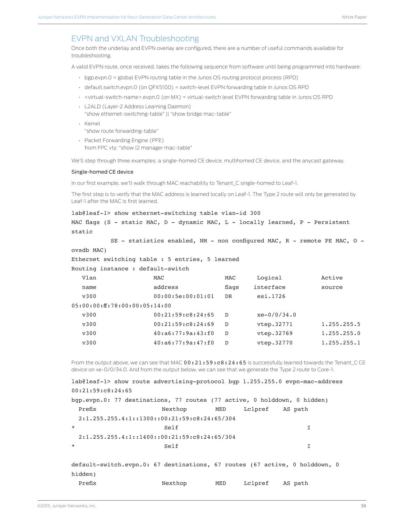### <span id="page-35-0"></span>EVPN and VXLAN Troubleshooting

Once both the underlay and EVPN overlay are configured, there are a number of useful commands available for troubleshooting.

A valid EVPN route, once received, takes the following sequence from software until being programmed into hardware:

- bgp.evpn.0 = global EVPN routing table in the Junos OS routing protocol process (RPD)
- default.switch.evpn.0 (on QFX5100) = switch-level EVPN forwarding table in Junos OS RPD
- <virtual-switch-name>.evpn.0 (on MX) = virtual-switch level EVPN forwarding table in Junos OS RPD
- L2ALD (Layer-2 Address Learning Daemon) "show ethernet-switching-table" || "show bridge mac-table"
- Kernel

"show route forwarding-table"

• Packet Forwarding Engine (PFE) from FPC vty: "show l2 manager mac-table"

We'll step through three examples: a single-homed CE device, multihomed CE device, and the anycast gateway.

#### Single-homed CE device

In our first example, we'll walk through MAC reachability to Tenant\_C single-homed to Leaf-1.

The first step is to verify that the MAC address is learned locally on Leaf-1. The Type 2 route will only be generated by Leaf-1 after the MAC is first learned.

```
lab@leaf-1> show ethernet-switching table vlan-id 300
```
MAC flags (S - static MAC, D - dynamic MAC, L - locally learned, P - Persistent static

SE - statistics enabled, NM - non configured MAC, R - remote PE MAC, O -

```
ovsdb MAC)
```
Ethernet switching table : 5 entries, 5 learned

Routing instance : default-switch

| Vlan                          | MAC                    | <b>MAC</b> | Logical       | Active      |
|-------------------------------|------------------------|------------|---------------|-------------|
| name                          | address                | flags      | interface     | source      |
| v300                          | 00:00:5e:00:01:01      | DR         | esi.1726      |             |
| 05:00:00:ff:78:00:00:05:14:00 |                        |            |               |             |
| v300                          | 00:21:59:CB:24:65      | D          | $xe-0/0/34.0$ |             |
| v300                          | 00:21:59:CB:24:69      | D          | vtep.32771    | 1.255.255.5 |
| v300                          | 40: a6: 77: 9a: 43: f0 | D          | vtep.32769    | 1.255.255.0 |
| v300                          | 40: a6: 77: 9a: 47: f0 | D          | vtep.32770    | 1.255.255.1 |
|                               |                        |            |               |             |

From the output above, we can see that MAC 00:21:59:c8:24:65 is successfully learned towards the Tenant C CE device on xe-0/0/34.0. And from the output below, we can see that we generate the Type 2 route to Core-1.

```
lab@leaf-1> show route advertising-protocol bgp 1.255.255.0 evpn-mac-address 
00:21:59:c8:24:65 
bgp.evpn.0: 77 destinations, 77 routes (77 active, 0 holddown, 0 hidden)
Prefix Nexthop MED Lclpref AS path
  2:1.255.255.4:1::1300::00:21:59:c8:24:65/304 
* Self I
  2:1.255.255.4:1::1400::00:21:59:c8:24:65/304 
* Self I
default-switch.evpn.0: 67 destinations, 67 routes (67 active, 0 holddown, 0 
hidden)
 Prefix Mexthop MED Lclpref AS path
```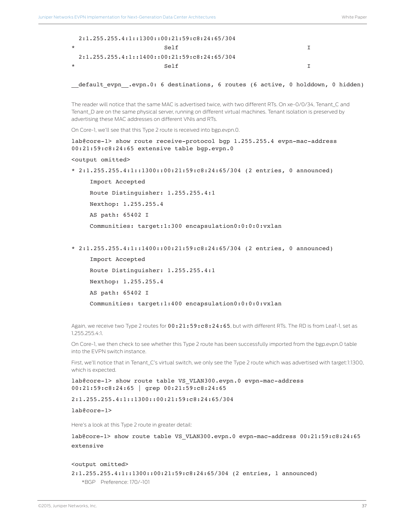|         | $2:1.255.255.4:1::1300::00:21:59:C8:24:65/304$ |  |
|---------|------------------------------------------------|--|
| $\star$ | $S \cap F$                                     |  |
|         | $2:1.255.255.4:1:1400::00:21:59:C8:24:65/304$  |  |
| ÷       | $S \cap T$                                     |  |

default\_evpn\_.evpn.0: 6 destinations, 6 routes (6 active, 0 holddown, 0 hidden)

The reader will notice that the same MAC is advertised twice, with two different RTs. On xe-0/0/34, Tenant\_C and Tenant\_D are on the same physical server, running on different virtual machines. Tenant isolation is preserved by advertising these MAC addresses on different VNIs and RTs.

On Core-1, we'll see that this Type 2 route is received into bgp.evpn.0.

lab@core-1> show route receive-protocol bgp 1.255.255.4 evpn-mac-address 00:21:59:c8:24:65 extensive table bgp.evpn.0

```
<output omitted>
```
\* 2:1.255.255.4:1::1300::00:21:59:c8:24:65/304 (2 entries, 0 announced)

 Import Accepted Route Distinguisher: 1.255.255.4:1 Nexthop: 1.255.255.4 AS path: 65402 I Communities: target:1:300 encapsulation0:0:0:0:vxlan

\* 2:1.255.255.4:1::1400::00:21:59:c8:24:65/304 (2 entries, 0 announced)

```
 Import Accepted
 Route Distinguisher: 1.255.255.4:1
 Nexthop: 1.255.255.4
 AS path: 65402 I
 Communities: target:1:400 encapsulation0:0:0:0:vxlan
```
Again, we receive two Type 2 routes for  $00:21:59:c8:24:65$ , but with different RTs. The RD is from Leaf-1, set as 1.255.255.4:1.

On Core-1, we then check to see whether this Type 2 route has been successfully imported from the bgp.evpn.0 table into the EVPN switch instance.

First, we'll notice that in Tenant\_C's virtual switch, we only see the Type 2 route which was advertised with target:1:1300, which is expected.

lab@core-1> show route table VS\_VLAN300.evpn.0 evpn-mac-address 00:21:59:c8:24:65 | grep 00:21:59:c8:24:65

2:1.255.255.4:1::1300::00:21:59:c8:24:65/304

lab@core-1>

Here's a look at this Type 2 route in greater detail:

lab@core-1> show route table VS VLAN300.evpn.0 evpn-mac-address 00:21:59:c8:24:65 extensive

#### <output omitted>

2:1.255.255.4:1::1300::00:21:59:c8:24:65/304 (2 entries, 1 announced)

\*BGP Preference: 170/-101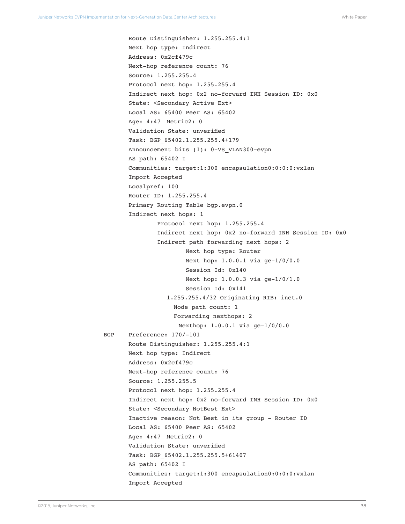```
 Route Distinguisher: 1.255.255.4:1
        Next hop type: Indirect
        Address: 0x2cf479c
        Next-hop reference count: 76
        Source: 1.255.255.4
        Protocol next hop: 1.255.255.4
        Indirect next hop: 0x2 no-forward INH Session ID: 0x0
        State: <Secondary Active Ext>
        Local AS: 65400 Peer AS: 65402
        Age: 4:47 Metric2: 0 
        Validation State: unverified 
        Task: BGP_65402.1.255.255.4+179
        Announcement bits (1): 0-VS_VLAN300-evpn 
        AS path: 65402 I
        Communities: target:1:300 encapsulation0:0:0:0:vxlan
        Import Accepted
        Localpref: 100
        Router ID: 1.255.255.4
        Primary Routing Table bgp.evpn.0
        Indirect next hops: 1
                Protocol next hop: 1.255.255.4
                Indirect next hop: 0x2 no-forward INH Session ID: 0x0
                Indirect path forwarding next hops: 2
                         Next hop type: Router
                         Next hop: 1.0.0.1 via ge-1/0/0.0
                         Session Id: 0x140
                         Next hop: 1.0.0.3 via ge-1/0/1.0
                         Session Id: 0x141
                  1.255.255.4/32 Originating RIB: inet.0
                     Node path count: 1
                     Forwarding nexthops: 2
                      Nexthop: 1.0.0.1 via ge-1/0/0.0
 BGP Preference: 170/-101
        Route Distinguisher: 1.255.255.4:1
        Next hop type: Indirect
        Address: 0x2cf479c
        Next-hop reference count: 76
        Source: 1.255.255.5
        Protocol next hop: 1.255.255.4
        Indirect next hop: 0x2 no-forward INH Session ID: 0x0
        State: <Secondary NotBest Ext>
        Inactive reason: Not Best in its group - Router ID
        Local AS: 65400 Peer AS: 65402
        Age: 4:47 Metric2: 0 
        Validation State: unverified 
        Task: BGP_65402.1.255.255.5+61407
        AS path: 65402 I
        Communities: target:1:300 encapsulation0:0:0:0:vxlan
        Import Accepted
```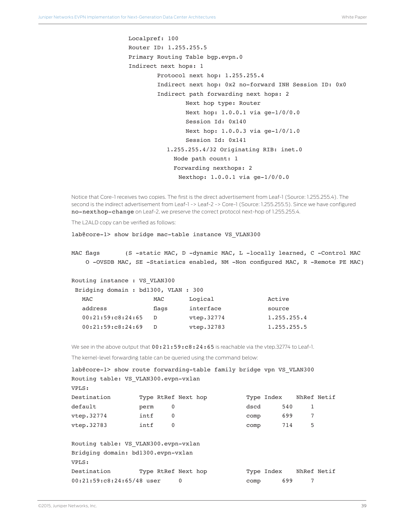```
 Localpref: 100
 Router ID: 1.255.255.5
 Primary Routing Table bgp.evpn.0
 Indirect next hops: 1
         Protocol next hop: 1.255.255.4
         Indirect next hop: 0x2 no-forward INH Session ID: 0x0
         Indirect path forwarding next hops: 2
                 Next hop type: Router
                 Next hop: 1.0.0.1 via ge-1/0/0.0
                 Session Id: 0x140
                 Next hop: 1.0.0.3 via ge-1/0/1.0
                 Session Id: 0x141
           1.255.255.4/32 Originating RIB: inet.0
              Node path count: 1
              Forwarding nexthops: 2
              Nexthop: 1.0.0.1 via ge-1/0/0.0
```
Notice that Core-1 receives two copies. The first is the direct advertisement from Leaf-1 (Source: 1.255.255.4). The second is the indirect advertisement from Leaf-1 -> Leaf-2 -> Core-1 (Source: 1.255.255.5). Since we have configured no-nexthop-change on Leaf-2, we preserve the correct protocol next-hop of 1.255.255.4.

The L2ALD copy can be verified as follows:

lab@core-1> show bridge mac-table instance VS\_VLAN300

MAC flags (S -static MAC, D -dynamic MAC, L -locally learned, C -Control MAC O -OVSDB MAC, SE -Statistics enabled, NM -Non configured MAC, R -Remote PE MAC)

Routing instance : VS\_VLAN300

| MAC   | Logical    | Active                             |
|-------|------------|------------------------------------|
| flags | interface  | source                             |
| D     | vtep.32774 | 1.255.255.4                        |
| D.    | vtep.32783 | 1.255.255.5                        |
|       |            | Bridging domain: bd1300, VLAN: 300 |

We see in the above output that  $00:21:59:cs8:24:65$  is reachable via the vtep.32774 to Leaf-1.

The kernel-level forwarding table can be queried using the command below:

| lab@core-1> show route forwarding-table family bridge vpn VS VLAN300 |      |             |                     |      |                        |             |  |
|----------------------------------------------------------------------|------|-------------|---------------------|------|------------------------|-------------|--|
| Routing table: VS VLAN300.evpn-vxlan                                 |      |             |                     |      |                        |             |  |
| VPLS:                                                                |      |             |                     |      |                        |             |  |
| Destination                                                          |      |             | Type RtRef Next hop |      | Type Index NhRef Netif |             |  |
| default                                                              | perm | 0           |                     | dscd | 540                    | 1           |  |
| vtep.32774                                                           | intf | $\mathbf 0$ |                     | comp | 699                    | 7           |  |
| vtep.32783                                                           | intf | $\mathbf 0$ |                     | comp | 714                    | 5           |  |
| Routing table: VS VLAN300.evpn-vxlan                                 |      |             |                     |      |                        |             |  |
| Bridging domain: bd1300.evpn-vxlan                                   |      |             |                     |      |                        |             |  |
| VPLS:                                                                |      |             |                     |      |                        |             |  |
| Destination                                                          |      |             | Type RtRef Next hop |      | Type Index             | NhRef Netif |  |
| 00:21:59:c8:24:65/48 user                                            |      |             | 0                   | comp | 699                    |             |  |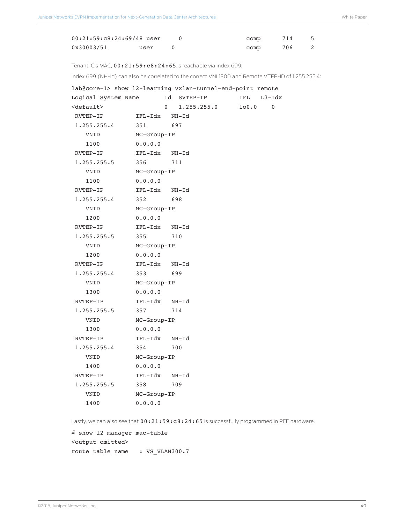| $00:21:59:C8:24:69/48$ user |      | comp | 714 |  |
|-----------------------------|------|------|-----|--|
| 0x30003/51                  | user | comp | 706 |  |

Tenant\_C's MAC,  $00:21:59:c8:24:65$ , is reachable via index 699.

Index 699 (NH-Id) can also be correlated to the correct VNI 1300 and Remote VTEP-ID of 1.255.255.4:

| lab@core-1> show 12-learning vxlan-tunnel-end-point remote |             |    |             |       |             |
|------------------------------------------------------------|-------------|----|-------------|-------|-------------|
| Logical System Name                                        |             | Id | SVTEP-IP    | IFL   | $L3 - Idx$  |
| <default></default>                                        |             | 0  | 1.255.255.0 | 100.0 | $\mathbf 0$ |
| RVTEP-IP                                                   | IFL-Idx     |    | NH-Id       |       |             |
| 1.255.255.4                                                | 351         |    | 697         |       |             |
| VNID                                                       | MC-Group-IP |    |             |       |             |
| 1100                                                       | 0.0.0.0     |    |             |       |             |
| RVTEP-IP                                                   | IFL-Idx     |    | NH-Id       |       |             |
| 1.255.255.5                                                | 356         |    | 711         |       |             |
| VNID                                                       | MC-Group-IP |    |             |       |             |
| 1100                                                       | 0.0.0.0     |    |             |       |             |
| RVTEP-IP                                                   | IFL-Idx     |    | NH-Id       |       |             |
| 1.255.255.4                                                | 352         |    | 698         |       |             |
| VNID                                                       | MC-Group-IP |    |             |       |             |
| 1200                                                       | 0.0.0.0     |    |             |       |             |
| RVTEP-IP                                                   | IFL-Idx     |    | NH-Id       |       |             |
| 1.255.255.5                                                | 355         |    | 710         |       |             |
| VNID                                                       | MC-Group-IP |    |             |       |             |
| 1200                                                       | 0.0.0.0     |    |             |       |             |
| RVTEP-IP                                                   | IFL-Idx     |    | NH-Id       |       |             |
| 1.255.255.4                                                | 353         |    | 699         |       |             |
| VNID                                                       | MC-Group-IP |    |             |       |             |
| 1300                                                       | 0.0.0.0     |    |             |       |             |
| RVTEP-IP                                                   | IFL-Idx     |    | NH-Id       |       |             |
| 1.255.255.5                                                | 357         |    | 714         |       |             |
| VNID                                                       | MC-Group-IP |    |             |       |             |
| 1300                                                       | 0.0.0.0     |    |             |       |             |
| RVTEP-IP                                                   | IFL-Idx     |    | NH-Id       |       |             |
| 1.255.255.4                                                | 354         |    | 700         |       |             |
| VNID                                                       | MC-Group-IP |    |             |       |             |
| 1400                                                       | 0.0.0.0     |    |             |       |             |
| RVTEP-IP                                                   | IFL-Idx     |    | NH-Id       |       |             |
| 1.255.255.5                                                | 358         |    | 709         |       |             |
| VNID                                                       | MC-Group-IP |    |             |       |             |
| 1400                                                       | 0.0.0.0     |    |             |       |             |
|                                                            |             |    |             |       |             |

Lastly, we can also see that  $00:21:59:cs8:24:65$  is successfully programmed in PFE hardware.

# show l2 manager mac-table <output omitted> route table name : VS\_VLAN300.7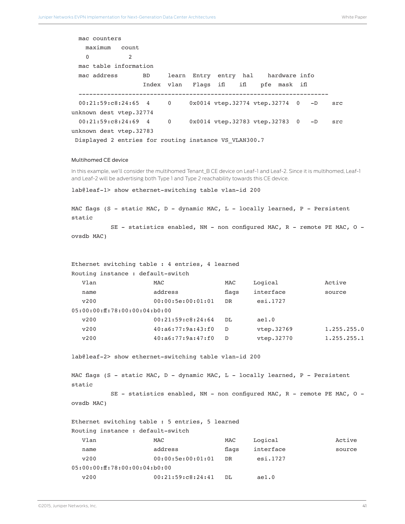```
 mac counters
    maximum count 
 0 2 
  mac table information
  mac address BD learn Entry entry hal hardware info
                  Index vlan Flags ifl ifl pfe mask ifl
  ----------------------------------------------------------------------
  00:21:59:c8:24:65 4 0 0x0014 vtep.32774 vtep.32774 0 -D src 
unknown dest vtep.32774
  00:21:59:c8:24:69 4 0 0x0014 vtep.32783 vtep.32783 0 -D src 
unknown dest vtep.32783
Displayed 2 entries for routing instance VS VLAN300.7
```
#### Multihomed CE device

In this example, we'll consider the multihomed Tenant\_B CE device on Leaf-1 and Leaf-2. Since it is multihomed, Leaf-1 and Leaf-2 will be advertising both Type 1 and Type 2 reachability towards this CE device.

lab@leaf-1> show ethernet-switching table vlan-id 200

MAC flags (S - static MAC, D - dynamic MAC, L - locally learned, P - Persistent static

 SE - statistics enabled, NM - non configured MAC, R - remote PE MAC, O ovsdb MAC)

| Ethernet switching table : 4 entries, 4 learned |                        |       |            |             |  |
|-------------------------------------------------|------------------------|-------|------------|-------------|--|
| Routing instance : default-switch               |                        |       |            |             |  |
| Vlan                                            | MAC                    | MAC   | Logical    | Active      |  |
| name                                            | address                | flags | interface  | source      |  |
| V200                                            | 00:00:5e:00:01:01      | DR    | esi.1727   |             |  |
| 0.5:00:00:ff:78:00:00:04:60:00                  |                        |       |            |             |  |
| v200                                            | 00:21:59:CB:24:64      | DT.   | ae1.0      |             |  |
| v200                                            | 40: a6: 77: 9a: 43: f0 | D     | vtep.32769 | 1.255.255.0 |  |
| v200                                            | 40: a6: 77: 9a: 47: f0 | D     | vtep.32770 | 1.255.255.1 |  |

lab@leaf-2> show ethernet-switching table vlan-id 200

MAC flags (S - static MAC, D - dynamic MAC, L - locally learned, P - Persistent static SE - statistics enabled, NM - non configured MAC,  $R$  - remote PE MAC,  $0$  -

```
ovsdb MAC)
```
Ethernet switching table : 5 entries, 5 learned Routing instance : default-switch Vlan MAC MAC Logical Active

| name                           | address           | flags | interface | source |
|--------------------------------|-------------------|-------|-----------|--------|
| v200                           | 00:00:5e:00:01:01 | DR.   | esi.1727  |        |
| 05:00:00:ff:78:00:00:04:bb0:00 |                   |       |           |        |
| V200                           | 00:21:59:CB:24:41 | DT.   | ae1.0     |        |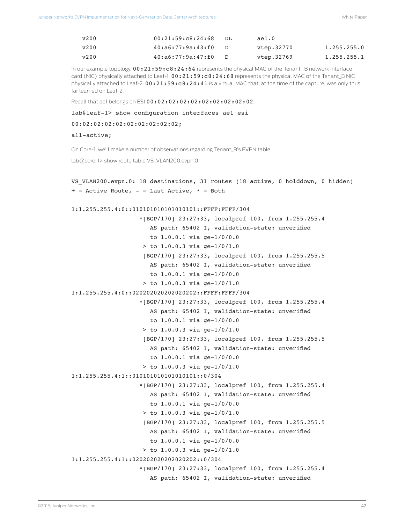| v200 | 00:21:59:CB:24:68      | DT. | ae1.0      |                |
|------|------------------------|-----|------------|----------------|
| v200 | 40: a6: 77: 9a: 43: f0 |     | vtep.32770 | 1.255.255.0    |
| v200 | 40: a6: 77: 9a: 47: f0 |     | vtep.32769 | 1, 255, 255, 1 |

In our example topology,  $00:21:59:cs24:64$  represents the physical MAC of the Tenant \_B network interface card (NIC) physically attached to Leaf-1. 00:21:59:c8:24:68 represents the physical MAC of the Tenant\_B NIC physically attached to Leaf-2.  $00:21:59:cs8:24:41$  is a virtual MAC that, at the time of the capture, was only thus far learned on Leaf-2.

Recall that ae1 belongs on ESI 00:02:02:02:02:02:02:02:02:02.

lab@leaf-1> show configuration interfaces ae1 esi

```
00:02:02:02:02:02:02:02:02:02;
```
all-active;

On Core-1, we'll make a number of observations regarding Tenant\_B's EVPN table.

lab@core-1> show route table VS\_VLAN200.evpn.0

```
VS_VLAN200.evpn.0: 18 destinations, 31 routes (18 active, 0 holddown, 0 hidden)
+ = Active Route, - = Last Active, * = Both
```

```
1:1.255.255.4:0::010101010101010101::FFFF:FFFF/304 
                     *[BGP/170] 23:27:33, localpref 100, from 1.255.255.4
                       AS path: 65402 I, validation-state: unverified
                       to 1.0.0.1 via ge-1/0/0.0
                     > to 1.0.0.3 via ge-1/0/1.0
                      [BGP/170] 23:27:33, localpref 100, from 1.255.255.5
                        AS path: 65402 I, validation-state: unverified
                       to 1.0.0.1 via ge-1/0/0.0
                     > to 1.0.0.3 via ge-1/0/1.0
1:1.255.255.4:0::020202020202020202::FFFF:FFFF/304 
                    *[BGP/170] 23:27:33, localpref 100, from 1.255.255.4
                       AS path: 65402 I, validation-state: unverified
                       to 1.0.0.1 via ge-1/0/0.0
                     > to 1.0.0.3 via ge-1/0/1.0
                      [BGP/170] 23:27:33, localpref 100, from 1.255.255.5
                       AS path: 65402 I, validation-state: unverified
                       to 1.0.0.1 via ge-1/0/0.0
                     > to 1.0.0.3 via ge-1/0/1.0
1:1.255.255.4:1::010101010101010101::0/304 
                    *[BGP/170] 23:27:33, localpref 100, from 1.255.255.4
                       AS path: 65402 I, validation-state: unverified
                       to 1.0.0.1 via ge-1/0/0.0
                     > to 1.0.0.3 via ge-1/0/1.0
                      [BGP/170] 23:27:33, localpref 100, from 1.255.255.5
                       AS path: 65402 I, validation-state: unverified
                       to 1.0.0.1 via ge-1/0/0.0
                     > to 1.0.0.3 via ge-1/0/1.0
1:1.255.255.4:1::020202020202020202::0/304 
                    *[BGP/170] 23:27:33, localpref 100, from 1.255.255.4
                        AS path: 65402 I, validation-state: unverified
```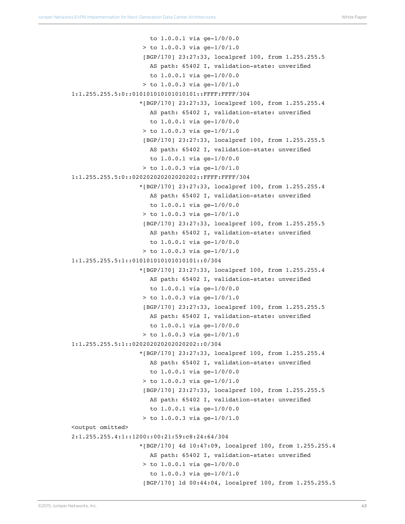```
 to 1.0.0.1 via ge-1/0/0.0
                     > to 1.0.0.3 via ge-1/0/1.0
                     [BGP/170] 23:27:33, localpref 100, from 1.255.255.5
                        AS path: 65402 I, validation-state: unverified
                       to 1.0.0.1 via ge-1/0/0.0
                     > to 1.0.0.3 via ge-1/0/1.0
1:1.255.255.5:0::010101010101010101::FFFF:FFFF/304 
                    *[BGP/170] 23:27:33, localpref 100, from 1.255.255.4
                       AS path: 65402 I, validation-state: unverified
                       to 1.0.0.1 via ge-1/0/0.0
                     > to 1.0.0.3 via ge-1/0/1.0
                     [BGP/170] 23:27:33, localpref 100, from 1.255.255.5
                       AS path: 65402 I, validation-state: unverified
                       to 1.0.0.1 via ge-1/0/0.0
                    > to 1.0.0.3 via ge-1/0/1.0
1:1.255.255.5:0::020202020202020202::FFFF:FFFF/304 
                    *[BGP/170] 23:27:33, localpref 100, from 1.255.255.4
                       AS path: 65402 I, validation-state: unverified
                       to 1.0.0.1 via ge-1/0/0.0
                     > to 1.0.0.3 via ge-1/0/1.0
                      [BGP/170] 23:27:33, localpref 100, from 1.255.255.5
                       AS path: 65402 I, validation-state: unverified
                       to 1.0.0.1 via ge-1/0/0.0
                    > to 1.0.0.3 via qe-1/0/1.0
1:1.255.255.5:1::010101010101010101::0/304 
                    *[BGP/170] 23:27:33, localpref 100, from 1.255.255.4
                       AS path: 65402 I, validation-state: unverified
                       to 1.0.0.1 via ge-1/0/0.0
                     > to 1.0.0.3 via ge-1/0/1.0
                     [BGP/170] 23:27:33, localpref 100, from 1.255.255.5
                       AS path: 65402 I, validation-state: unverified
                       to 1.0.0.1 via ge-1/0/0.0
                    > to 1.0.0.3 via ge-1/0/1.0
1:1.255.255.5:1::020202020202020202::0/304 
                    *[BGP/170] 23:27:33, localpref 100, from 1.255.255.4
                       AS path: 65402 I, validation-state: unverified
                       to 1.0.0.1 via ge-1/0/0.0
                    > to 1.0.0.3 via qe-1/0/1.0
                     [BGP/170] 23:27:33, localpref 100, from 1.255.255.5
                       AS path: 65402 I, validation-state: unverified
                       to 1.0.0.1 via ge-1/0/0.0
                     > to 1.0.0.3 via ge-1/0/1.0
<output omitted>
2:1.255.255.4:1::1200::00:21:59:c8:24:64/304 
                     *[BGP/170] 4d 10:47:09, localpref 100, from 1.255.255.4
                       AS path: 65402 I, validation-state: unverified
                     > to 1.0.0.1 via ge-1/0/0.0
                       to 1.0.0.3 via ge-1/0/1.0
                      [BGP/170] 1d 00:44:04, localpref 100, from 1.255.255.5
```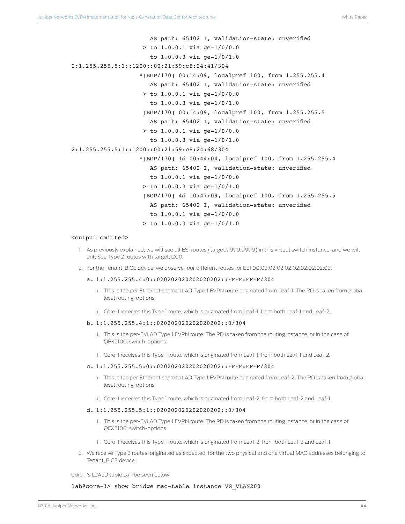AS path: 65402 I, validation-state: unverified > to 1.0.0.1 via ge-1/0/0.0 to 1.0.0.3 via ge-1/0/1.0 2:1.255.255.5:1::1200::00:21:59:c8:24:41/304 \*[BGP/170] 00:14:09, localpref 100, from 1.255.255.4 AS path: 65402 I, validation-state: unverified > to 1.0.0.1 via ge-1/0/0.0 to 1.0.0.3 via ge-1/0/1.0 [BGP/170] 00:14:09, localpref 100, from 1.255.255.5 AS path: 65402 I, validation-state: unverified > to 1.0.0.1 via ge-1/0/0.0 to 1.0.0.3 via ge-1/0/1.0 2:1.255.255.5:1::1200::00:21:59:c8:24:68/304 \*[BGP/170] 1d 00:44:04, localpref 100, from 1.255.255.4 AS path: 65402 I, validation-state: unverified to 1.0.0.1 via ge-1/0/0.0 > to 1.0.0.3 via ge-1/0/1.0 [BGP/170] 4d 10:47:09, localpref 100, from 1.255.255.5 AS path: 65402 I, validation-state: unverified to 1.0.0.1 via ge-1/0/0.0  $>$  to 1.0.0.3 via qe-1/0/1.0

#### <output omitted>

- 1. As previously explained, we will see all ESI routes (target:9999:9999) in this virtual switch instance, and we will only see Type 2 routes with target:1200.
- 2. For the Tenant\_B CE device, we observe four different routes for ESI 00:02:02:02:02:02:02:02:02:02.

#### a. 1:1.255.255.4:0::020202020202020202::FFFF:FFFF/304

- i. This is the per Ethernet segment AD Type 1 EVPN route originated from Leaf-1. The RD is taken from global level routing-options.
- ii. Core-1 receives this Type 1 route, which is originated from Leaf-1, from both Leaf-1 and Leaf-2.

#### b. 1:1.255.255.4:1::020202020202020202::0/304

- i. This is the per-EVI AD Type 1 EVPN route. The RD is taken from the routing instance, or in the case of QFX5100, switch-options.
- ii. Core-1 receives this Type 1 route, which is originated from Leaf-1, from both Leaf-1 and Leaf-2.

#### c. 1:1.255.255.5:0::020202020202020202::FFFF:FFFF/304

- i. This is the per Ethernet segment AD Type 1 EVPN route originated from Leaf-2. The RD is taken from global level routing-options.
- ii. Core-1 receives this Type 1 route, which is originated from Leaf-2, from both Leaf-2 and Leaf-1.

#### d. 1:1.255.255.5:1::020202020202020202::0/304

- i. This is the per-EVI AD Type 1 EVPN route. The RD is taken from the routing instance, or in the case of QFX5100, switch-options.
- ii. Core-1 receives this Type 1 route, which is originated from Leaf-2, from both Leaf-2 and Leaf-1.
- 3. We receive Type 2 routes, originated as expected, for the two physical and one virtual MAC addresses belonging to Tenant\_B CE device.

Core-1's L2ALD table can be seen below:

lab@core-1> show bridge mac-table instance VS VLAN200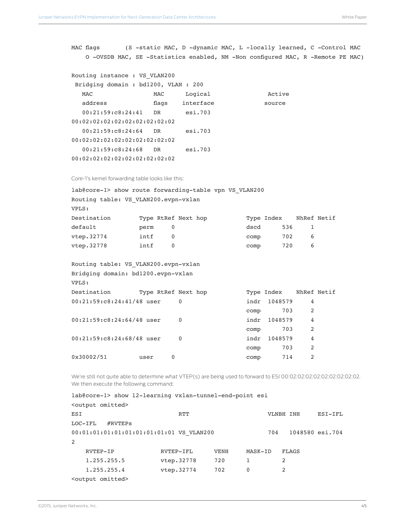MAC flags (S -static MAC, D -dynamic MAC, L -locally learned, C -Control MAC O -OVSDB MAC, SE -Statistics enabled, NM -Non configured MAC, R -Remote PE MAC)

| Routing instance : VS VLAN200      |       |           |        |
|------------------------------------|-------|-----------|--------|
| Bridging domain: bd1200, VLAN: 200 |       |           |        |
| MAC.                               | MAC   | Logical   | Active |
| address                            | flaqs | interface | source |
| 00:21:59:CB:24:41                  | DR.   | esi.703   |        |
| 00:02:02:02:02:02:02:02:02:02:02   |       |           |        |
| 00:21:59:CB:24:64                  | DR.   | esi.703   |        |
| 00:02:02:02:02:02:02:02:02:02:02   |       |           |        |
| 00:21:59:CB:24:68                  | DR.   | esi.703   |        |
| 00:02:02:02:02:02:02:02:02:02:02   |       |           |        |

Core-1's kernel forwarding table looks like this:

| lab@core-1> show route forwarding-table vpn VS VLAN200 |      |                     |            |     |             |
|--------------------------------------------------------|------|---------------------|------------|-----|-------------|
| Routing table: VS VLAN200.evpn-vxlan                   |      |                     |            |     |             |
| VPLS:                                                  |      |                     |            |     |             |
| Destination                                            |      | Type RtRef Next hop | Type Index |     | NhRef Netif |
| default                                                | perm | 0                   | dscd       | 536 |             |
| vtep.32774                                             | intf | $\overline{0}$      | comp       | 702 | 6           |
| vtep.32778                                             | intf | $\overline{0}$      | comp       | 720 | 6           |
|                                                        |      |                     |            |     |             |

| Routing table: VS VLAN200.evpn-vxlan<br>Bridging domain: bd1200.evpn-vxlan |      |                     |      |                        |   |  |
|----------------------------------------------------------------------------|------|---------------------|------|------------------------|---|--|
| VPLS:                                                                      |      |                     |      |                        |   |  |
| Destination                                                                |      | Type RtRef Next hop |      | Type Index NhRef Netif |   |  |
| 00:21:59:c8:24:41/48 user                                                  |      | $\Omega$            | indr | 1048579                | 4 |  |
|                                                                            |      |                     | comp | 703                    | 2 |  |
| $00:21:59:C8:24:64/48$ user                                                |      | $\Omega$            | indr | 1048579                | 4 |  |
|                                                                            |      |                     | comp | 703                    | 2 |  |
| $00:21:59:C8:24:68/48$ user                                                |      | $\Omega$            | indr | 1048579                | 4 |  |
|                                                                            |      |                     | comp | 703                    | 2 |  |
| 0x30002/51                                                                 | user | 0                   | comp | 714                    | 2 |  |
|                                                                            |      |                     |      |                        |   |  |

We're still not quite able to determine what VTEP(s) are being used to forward to ESI 00:02:02:02:02:02:02:02:02:02. We then execute the following command:

lab@core-1> show 12-learning vxlan-tunnel-end-point esi

| <output omitted=""></output>                                       |            |             |         |           |         |
|--------------------------------------------------------------------|------------|-------------|---------|-----------|---------|
| ESI                                                                | <b>RTT</b> |             |         | VLNBH INH | ESI-IFL |
| $#$ RVTEPS<br>LOC-IFL                                              |            |             |         |           |         |
| 1048580 esi.704<br>00:01:01:01:01:01:01:01:01:01 VS VLAN200<br>704 |            |             |         |           |         |
| 2                                                                  |            |             |         |           |         |
| RVTEP-IP                                                           | RVTEP-IFL  | <b>VENH</b> | MASK-ID | FLAGS     |         |
| 1.255.255.5                                                        | vtep.32778 | 720         |         | 2         |         |
| 1.255.255.4                                                        | vtep.32774 | 702         | 0       | 2         |         |
| <output omitted=""></output>                                       |            |             |         |           |         |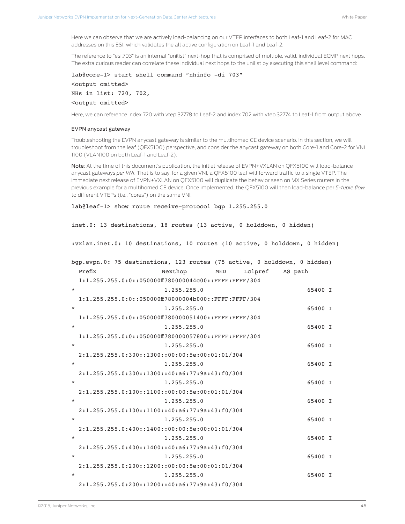Here we can observe that we are actively load-balancing on our VTEP interfaces to both Leaf-1 and Leaf-2 for MAC addresses on this ESI, which validates the all active configuration on Leaf-1 and Leaf-2.

The reference to "esi.703" is an internal "unilist" next-hop that is comprised of multiple, valid, individual ECMP next hops. The extra curious reader can correlate these individual next hops to the unilist by executing this shell level command:

```
lab@core-1> start shell command "nhinfo -di 703" 
<output omitted>
NHs in list: 720, 702,
<output omitted>
```
Here, we can reference index 720 with vtep.32778 to Leaf-2 and index 702 with vtep.32774 to Leaf-1 from output above.

#### EVPN anycast gateway

Troubleshooting the EVPN anycast gateway is similar to the multihomed CE device scenario. In this section, we will troubleshoot from the leaf (QFX5100) perspective, and consider the anycast gateway on both Core-1 and Core-2 for VNI 1100 (VLAN100 on both Leaf-1 and Leaf-2).

Note: At the time of this document's publication, the initial release of EVPN+VXLAN on QFX5100 will load-balance anycast gateways *per VNI*. That is to say, for a given VNI, a QFX5100 leaf will forward traffic to a single VTEP. The immediate next release of EVPN+VXLAN on QFX5100 will duplicate the behavior seen on MX Series routers in the previous example for a multihomed CE device. Once implemented, the QFX5100 will then load-balance per *5-tuple flow*  to different VTEPs (i.e., "cores") on the same VNI.

```
lab@leaf-1> show route receive-protocol bgp 1.255.255.0
```
inet.0: 13 destinations, 18 routes (13 active, 0 holddown, 0 hidden)

:vxlan.inet.0: 10 destinations, 10 routes (10 active, 0 holddown, 0 hidden)

| bqp.evpn.0: 75 destinations, 123 routes (75 active, 0 holddown, 0 hidden) |         |
|---------------------------------------------------------------------------|---------|
| Prefix<br>Nexthop<br>Lclpref<br>MED                                       | AS path |
| $1:1.255.255.0:0:255:05000000780000044c00:$ :FFFF:FFFF/304                |         |
| $\star$<br>1.255.255.0                                                    | 65400 I |
| $1:1.255.255.0:0:100500000078000004b000:$ ::FFFF:FFFF/304                 |         |
| 1.255.255.0<br>$\star$                                                    | 65400 I |
| $1:1.255.255.0:0:1005000000000000001400:$ :FFFF:FFFF/304                  |         |
| 1.255.255.0<br>$\star$                                                    | 65400 I |
| $1:1.255.255.0:0:255:05000000780000057800:$ :FFFF:FFFF/304                |         |
| 1.255.255.0<br>$\star$                                                    | 65400 I |
| $2:1.255.255.0:300:1300:100:00:5e:00:01:01/304$                           |         |
| 1.255.255.0<br>$\ast$                                                     | 65400 I |
| $2:1.255.255.0:300::1300::40:a6:77:9a:43:f0/304$                          |         |
| 1.255.255.0<br>$\star$                                                    | 65400 I |
| $2:1.255.255.0:100::1100::00:00:5e:00:01:01/304$                          |         |
| $\star$<br>1.255.255.0                                                    | 65400 I |
| $2:1.255.255.0:100::1100::40:a6:77:9a:43:f0/304$                          |         |
| 1.255.255.0<br>$\star$                                                    | 65400 I |
| $2:1.255.255.0:400::1400::00:00:5e:00:01:01/304$                          |         |
| 1.255.255.0<br>$\star$                                                    | 65400 I |
| $2:1.255.255.0:400:1400:140:16:77:9a:43:10/304$                           |         |
| $\ast$<br>1.255.255.0                                                     | 65400 I |
| $2:1.255.255.0:200::1200::00:00:5e:00:01:01/304$                          |         |
| 1.255.255.0<br>$\star$                                                    | 65400 I |
| $2:1.255.255.0:200::1200::40:a6:77:9a:43:f0/304$                          |         |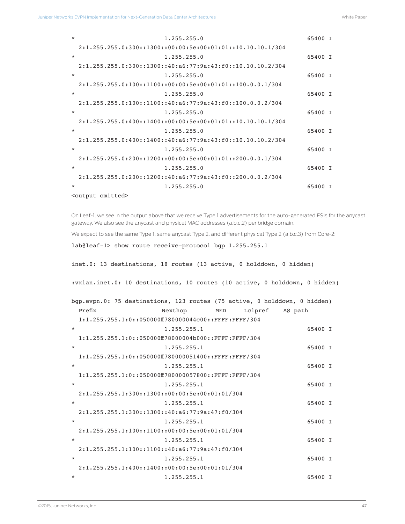| $\star$ | 1.255.255.0                                                   | 65400 I |  |
|---------|---------------------------------------------------------------|---------|--|
|         | $2:1.255.255.0:300::1300::00:00:5e:00:01:01::10.10.10.1/304$  |         |  |
| $\star$ | 1.255.255.0                                                   | 65400 I |  |
|         | $2:1.255.255.0:300::1300::40:a6:77:9a:43:f0::10.10.10.2/304$  |         |  |
| $\star$ | 1.255.255.0                                                   | 65400 I |  |
|         | $2:1.255.255.0:100::1100::00:00:5e:00:01:01::100.0.0.1/304$   |         |  |
| $\star$ | 1.255.255.0                                                   | 65400 T |  |
|         | $2:1.255.255.0:100::1100::40:a6:77:9a:43:f0::100.0.0.2/304$   |         |  |
| $\star$ | 1, 255, 255, 0                                                | 65400 I |  |
|         | $2:1.255.255.0:400:1400:100:00:5e:00:01:01:10.10.10.10.1/304$ |         |  |
| $\star$ | 1, 255, 255, 0                                                | 65400 T |  |
|         | $2:1.255.255.0:400::1400::40:a6:77:9a:43:f0::10.10.10.2/304$  |         |  |
| $\star$ | 1.255.255.0                                                   | 65400 I |  |
|         | $2:1.255.255.0:200::1200::00:00:5e:00:01:01::200.0.01/304$    |         |  |
| $\star$ | 1.255.255.0                                                   | 65400 I |  |
|         | $2:1.255.255.0:200::1200::40:a6:77:9a:43:f0::200.0.0.2/304$   |         |  |
| $\star$ | 1.255.255.0                                                   | 65400 I |  |
|         | <output omitted=""></output>                                  |         |  |

On Leaf-1, we see in the output above that we receive Type 1 advertisements for the auto-generated ESIs for the anycast gateway. We also see the anycast and physical MAC addresses (a.b.c.2) per bridge domain.

We expect to see the same Type 1, same anycast Type 2, and different physical Type 2 (a.b.c.3) from Core-2:

```
lab@leaf-1> show route receive-protocol bgp 1.255.255.1
```

```
inet.0: 13 destinations, 18 routes (13 active, 0 holddown, 0 hidden)
```
:vxlan.inet.0: 10 destinations, 10 routes (10 active, 0 holddown, 0 hidden)

| bgp.evpn.0: 75 destinations, 123 routes (75 active, 0 holddown, 0 hidden) |                                                          |         |         |
|---------------------------------------------------------------------------|----------------------------------------------------------|---------|---------|
| Prefix                                                                    | Nexthop MED                                              | Lclpref | AS path |
|                                                                           | $1:1.255.255.1:0:1000000000000044c00:$ :FFFF:FFFF/304    |         |         |
| $\star$                                                                   | 1.255.255.1                                              |         | 65400 I |
|                                                                           | $1:1.255.255.1:0::050000ff78000004b000::FFFFF;FFFF'/304$ |         |         |
| $\star$                                                                   | 1.255.255.1                                              |         | 65400 I |
|                                                                           | $1:1.255.255.1:0:100000000000000001400:$ :FFFF:FFFF/304  |         |         |
| $\star$                                                                   | 1.255.255.1                                              |         | 65400 I |
|                                                                           | $1:1.255.255.1:0:100000000000000057800:$ :FFFF:FFFF/304  |         |         |
| $\star$                                                                   | 1.255.255.1                                              |         | 65400 I |
|                                                                           | $2:1.255.255.1:300::1300::00:00:5e:00:01:01/304$         |         |         |
| $\star$                                                                   | 1.255.255.1                                              |         | 65400 I |
|                                                                           | $2:1.255.255.1:300::1300::40:a6:77:9a:47:f0/304$         |         |         |
| $\star$                                                                   | 1.255.255.1                                              |         | 65400 I |
|                                                                           | $2:1.255.255.1:100::1100::00:00:5e:00:01:01/304$         |         |         |
| $\star$                                                                   | 1.255.255.1                                              |         | 65400 I |
|                                                                           | $2:1.255.255.1:100::1100::40:a6:77:9a:47:f0/304$         |         |         |
| $\star$                                                                   | 1.255.255.1                                              |         | 65400 I |
|                                                                           | $2:1.255.255.1:400::1400::00:00:5e:00:01:01/304$         |         |         |
| $\star$                                                                   | 1.255.255.1                                              |         | 65400 I |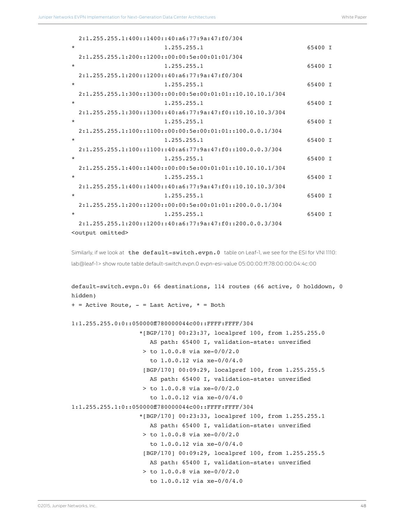|         | $2:1.255.255.1:400::1400::40:a6:77:9a:47:f0/304$              |         |  |
|---------|---------------------------------------------------------------|---------|--|
| $\star$ | 1.255.255.1                                                   | 65400 I |  |
|         | $2:1.255.255.1:200::1200::00:00:5e:00:01:01/304$              |         |  |
| $\star$ | 1.255.255.1                                                   | 65400 I |  |
|         | $2:1.255.255.1:200::1200::40:a6:77:9a:47:f0/304$              |         |  |
| $\ast$  | 1, 255, 255, 1                                                | 65400 I |  |
|         | $2:1.255.255.1:300::1300::00:00:5e:00:01:01::10.10.10.1/304$  |         |  |
| $\star$ | 1.255.255.1                                                   | 65400 I |  |
|         | $2:1.255.255.1:300::1300::40:a6:77:9a:47:f0::10.10.10.3/304$  |         |  |
| $\star$ | 1.255.255.1                                                   | 65400 I |  |
|         | $2:1.255.255.1:100::1100::00:00:5e:00:01:01::100.0.0.1/304$   |         |  |
| $\star$ | 1.255.255.1                                                   | 65400 I |  |
|         | $2:1,255,255,1:100:1100:140:16:77:9a:47:00:100.0.0.3/304$     |         |  |
| $\star$ | 1, 255, 255, 1                                                | 65400 I |  |
|         | $2:1.255.255.1:400:1400:100:00:5e:00:01:01:10.10.10.10.1/304$ |         |  |
| $\star$ | 1.255.255.1                                                   | 65400 I |  |
|         | $2:1.255.255.1:400:1400:1400:40:577:9a:47:50:10.10.10.3/304$  |         |  |
| $\star$ | 1.255.255.1                                                   | 65400 I |  |
|         | $2:1.255.255.1:200::1200::00:00:5e:00:01:01::200.0.0.1/304$   |         |  |
| $\star$ | 1.255.255.1                                                   | 65400 I |  |
|         | $2:1.255.255.1:200::1200::40:a6:77:9a:47:f0::200.0.0.3/304$   |         |  |
|         | <output omitted=""></output>                                  |         |  |

```
Similarly, if we look at the default-switch.evpn.0 table on Leaf-1, we see for the ESI for VNI 1110:
lab@leaf-1> show route table default-switch.evpn.0 evpn-esi-value 05:00:00:ff:78:00:00:04:4c:00
```

```
default-switch.evpn.0: 66 destinations, 114 routes (66 active, 0 holddown, 0 
hidden)
+ = Active Route, - = Last Active, * = Both
1:1.255.255.0:0::050000ff780000044c00::FFFF:FFFF/304 
                    *[BGP/170] 00:23:37, localpref 100, from 1.255.255.0
                       AS path: 65400 I, validation-state: unverified
                     > to 1.0.0.8 via xe-0/0/2.0
                       to 1.0.0.12 via xe-0/0/4.0
                     [BGP/170] 00:09:29, localpref 100, from 1.255.255.5
                       AS path: 65400 I, validation-state: unverified
                     > to 1.0.0.8 via xe-0/0/2.0
                       to 1.0.0.12 via xe-0/0/4.0
1:1.255.255.1:0::050000ff780000044c00::FFFF:FFFF/304 
                    *[BGP/170] 00:23:33, localpref 100, from 1.255.255.1
                       AS path: 65400 I, validation-state: unverified
                     > to 1.0.0.8 via xe-0/0/2.0
                       to 1.0.0.12 via xe-0/0/4.0
                     [BGP/170] 00:09:29, localpref 100, from 1.255.255.5
                       AS path: 65400 I, validation-state: unverified
                     > to 1.0.0.8 via xe-0/0/2.0
                       to 1.0.0.12 via xe-0/0/4.0
```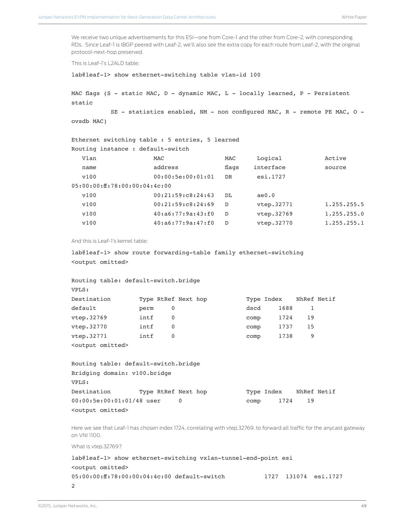We receive two unique advertisements for this ESI—one from Core-1 and the other from Core-2, with corresponding RDs. Since Leaf-1 is IBGP peered with Leaf-2, we'll also see the extra copy for each route from Leaf-2, with the original protocol-next-hop preserved.

This is Leaf-1's L2ALD table:

```
lab@leaf-1> show ethernet-switching table vlan-id 100
```

```
MAC flags (S - static MAC, D - dynamic MAC, L - locally learned, P - Persistent 
static
```
SE - statistics enabled,  $NM$  - non configured MAC,  $R$  - remote PE MAC, O ovsdb MAC)

```
Ethernet switching table : 5 entries, 5 learned
Routing instance : default-switch
```

| Vlan                          | MAC                    | MAC       | Logical    | Active      |
|-------------------------------|------------------------|-----------|------------|-------------|
| name                          | address                | flags     | interface  | source      |
| v100                          | 00:00:5e:00:01:01      | <b>DR</b> | esi.1727   |             |
| 05:00:00:ff:78:00:00:04:4c:00 |                        |           |            |             |
| v100                          | 00:21:59:CB:24:63      | DT.       | ae0.0      |             |
| v100                          | 00:21:59:CB:24:69      | D         | vtep.32771 | 1.255.255.5 |
| v100                          | 40: a6: 77: 9a: 43: f0 | D         | vtep.32769 | 1.255.255.0 |
| v100                          | 40: a6: 77: 9a: 47: f0 | D         | vtep.32770 | 1.255.255.1 |

And this is Leaf-1's kernel table:

```
lab@leaf-1> show route forwarding-table family ethernet-switching 
<output omitted>
```

| Routing table: default-switch.bridge |      |   |                     |      |            |    |             |
|--------------------------------------|------|---|---------------------|------|------------|----|-------------|
| VPLS:                                |      |   |                     |      |            |    |             |
| Destination                          |      |   | Type RtRef Next hop |      | Type Index |    | NhRef Netif |
| default                              | perm | 0 |                     | dscd | 1688       |    |             |
| vtep.32769                           | intf | 0 |                     | comp | 1724       | 19 |             |
| vtep.32770                           | intf | 0 |                     | comp | 1737       | 15 |             |
| vtep.32771                           | intf | 0 |                     | comp | 1738       | 9  |             |
| <output omitted=""></output>         |      |   |                     |      |            |    |             |

| Routing table: default-switch.bridge |                     |  |      |            |    |             |  |
|--------------------------------------|---------------------|--|------|------------|----|-------------|--|
| Bridging domain: v100.bridge         |                     |  |      |            |    |             |  |
| VPLS:                                |                     |  |      |            |    |             |  |
| Destination                          | Type RtRef Next hop |  |      | Type Index |    | NhRef Netif |  |
| $00:00:5e:00:01:01/48$ user          |                     |  | comp | 1724       | 19 |             |  |
| <output omitted=""></output>         |                     |  |      |            |    |             |  |

Here we see that Leaf-1 has chosen index 1724, correlating with vtep.32769, to forward all traffic for the anycast gateway on VNI 1100.

What is vtep.32769?

```
lab@leaf-1> show ethernet-switching vxlan-tunnel-end-point esi
<output omitted>
05:00:00:ff:78:00:00:04:4c:00 default-switch 1727 131074 esi.1727 
2
```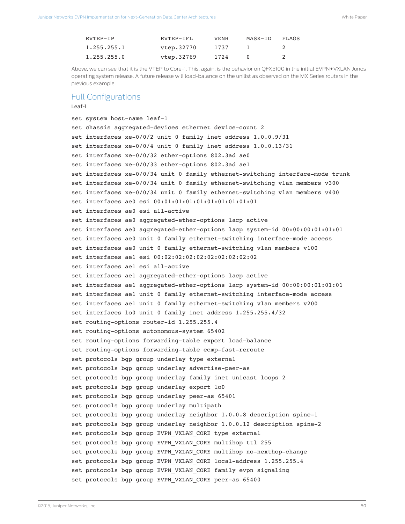<span id="page-49-0"></span>

| RVTEP-TP       | RVTEP-TFL  | <b>VENH</b> | MASK-TD | FLAGS         |
|----------------|------------|-------------|---------|---------------|
| 1.255.255.1    | vtep.32770 | 1737        |         | $\mathcal{D}$ |
| 1, 255, 255, 0 | vtep.32769 | 1724        |         |               |

Above, we can see that it is the VTEP to Core-1. This, again, is the behavior on QFX5100 in the initial EVPN+VXLAN Junos operating system release. A future release will load-balance on the unilist as observed on the MX Series routers in the previous example.

### Full Configurations

### Leaf-1

```
set system host-name leaf-1
set chassis aggregated-devices ethernet device-count 2
set interfaces xe-0/0/2 unit 0 family inet address 1.0.0.9/31
set interfaces xe-0/0/4 unit 0 family inet address 1.0.0.13/31
set interfaces xe-0/0/32 ether-options 802.3ad ae0
set interfaces xe-0/0/33 ether-options 802.3ad ae1
set interfaces xe-0/0/34 unit 0 family ethernet-switching interface-mode trunk
set interfaces xe-0/0/34 unit 0 family ethernet-switching vlan members v300
set interfaces xe-0/0/34 unit 0 family ethernet-switching vlan members v400
set interfaces ae0 esi 00:01:01:01:01:01:01:01:01:01
set interfaces ae0 esi all-active
set interfaces ae0 aggregated-ether-options lacp active
set interfaces ae0 aggregated-ether-options lacp system-id 00:00:00:01:01:01
set interfaces ae0 unit 0 family ethernet-switching interface-mode access
set interfaces ae0 unit 0 family ethernet-switching vlan members v100
set interfaces ae1 esi 00:02:02:02:02:02:02:02:02:02
set interfaces ae1 esi all-active
set interfaces ae1 aggregated-ether-options lacp active
set interfaces ae1 aggregated-ether-options lacp system-id 00:00:00:01:01:01
set interfaces ae1 unit 0 family ethernet-switching interface-mode access
set interfaces ae1 unit 0 family ethernet-switching vlan members v200
set interfaces lo0 unit 0 family inet address 1.255.255.4/32
set routing-options router-id 1.255.255.4
set routing-options autonomous-system 65402
set routing-options forwarding-table export load-balance
set routing-options forwarding-table ecmp-fast-reroute
set protocols bgp group underlay type external
set protocols bgp group underlay advertise-peer-as
set protocols bgp group underlay family inet unicast loops 2
set protocols bgp group underlay export lo0
set protocols bgp group underlay peer-as 65401
set protocols bgp group underlay multipath
set protocols bgp group underlay neighbor 1.0.0.8 description spine-1
set protocols bgp group underlay neighbor 1.0.0.12 description spine-2
set protocols bgp group EVPN VXLAN CORE type external
set protocols bgp group EVPN_VXLAN_CORE multihop ttl 255
set protocols bgp group EVPN_VXLAN_CORE multihop no-nexthop-change
set protocols bgp group EVPN_VXLAN_CORE local-address 1.255.255.4
set protocols bgp group EVPN_VXLAN_CORE family evpn signaling
set protocols bgp group EVPN_VXLAN_CORE peer-as 65400
```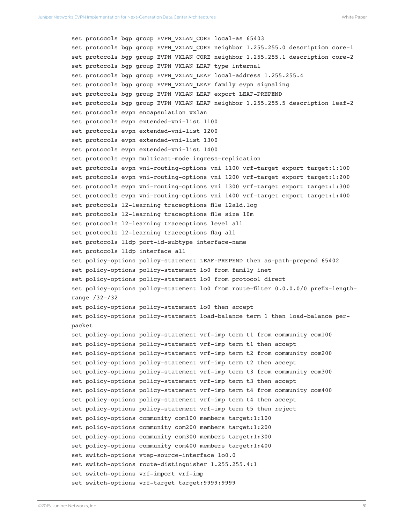```
set protocols bgp group EVPN VXLAN CORE local-as 65403
set protocols bgp group EVPN_VXLAN_CORE neighbor 1.255.255.0 description core-1
set protocols bgp group EVPN VXLAN CORE neighbor 1.255.255.1 description core-2
set protocols bgp group EVPN VXLAN LEAF type internal
set protocols bgp group EVPN_VXLAN_LEAF local-address 1.255.255.4
set protocols bgp group EVPN VXLAN LEAF family evpn signaling
set protocols bgp group EVPN VXLAN LEAF export LEAF-PREPEND
set protocols bgp group EVPN VXLAN LEAF neighbor 1.255.255.5 description leaf-2
set protocols evpn encapsulation vxlan
set protocols evpn extended-vni-list 1100
set protocols evpn extended-vni-list 1200
set protocols evpn extended-vni-list 1300
set protocols evpn extended-vni-list 1400
set protocols evpn multicast-mode ingress-replication
set protocols evpn vni-routing-options vni 1100 vrf-target export target:1:100
set protocols evpn vni-routing-options vni 1200 vrf-target export target:1:200
set protocols evpn vni-routing-options vni 1300 vrf-target export target:1:300
set protocols evpn vni-routing-options vni 1400 vrf-target export target:1:400
set protocols l2-learning traceoptions file l2ald.log
set protocols l2-learning traceoptions file size 10m
set protocols l2-learning traceoptions level all
set protocols l2-learning traceoptions flag all
set protocols lldp port-id-subtype interface-name
set protocols lldp interface all
set policy-options policy-statement LEAF-PREPEND then as-path-prepend 65402
set policy-options policy-statement lo0 from family inet
set policy-options policy-statement lo0 from protocol direct
set policy-options policy-statement lo0 from route-filter 0.0.0.0/0 prefix-length-
range /32-/32
set policy-options policy-statement lo0 then accept
set policy-options policy-statement load-balance term 1 then load-balance per-
packet
set policy-options policy-statement vrf-imp term t1 from community com100
set policy-options policy-statement vrf-imp term t1 then accept
set policy-options policy-statement vrf-imp term t2 from community com200
set policy-options policy-statement vrf-imp term t2 then accept
set policy-options policy-statement vrf-imp term t3 from community com300
set policy-options policy-statement vrf-imp term t3 then accept
set policy-options policy-statement vrf-imp term t4 from community com400
set policy-options policy-statement vrf-imp term t4 then accept
set policy-options policy-statement vrf-imp term t5 then reject
set policy-options community com100 members target:1:100
set policy-options community com200 members target:1:200
set policy-options community com300 members target:1:300
set policy-options community com400 members target:1:400
set switch-options vtep-source-interface lo0.0
set switch-options route-distinguisher 1.255.255.4:1
set switch-options vrf-import vrf-imp
set switch-options vrf-target target:9999:9999
```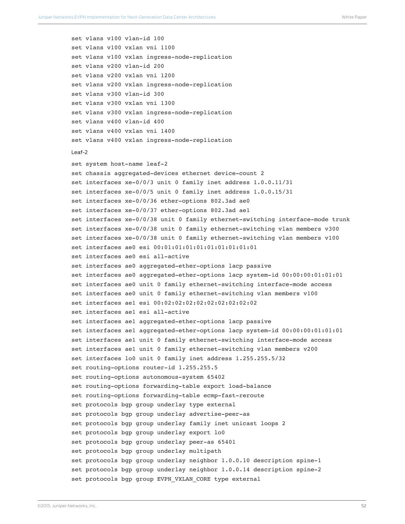```
set vlans v100 vlan-id 100
set vlans v100 vxlan vni 1100
set vlans v100 vxlan ingress-node-replication
set vlans v200 vlan-id 200
set vlans v200 vxlan vni 1200
set vlans v200 vxlan ingress-node-replication
set vlans v300 vlan-id 300
set vlans v300 vxlan vni 1300
set vlans v300 vxlan ingress-node-replication
set vlans v400 vlan-id 400
set vlans v400 vxlan vni 1400
set vlans v400 vxlan ingress-node-replication
Leaf-2
set system host-name leaf-2
set chassis aggregated-devices ethernet device-count 2
set interfaces xe-0/0/3 unit 0 family inet address 1.0.0.11/31
set interfaces xe-0/0/5 unit 0 family inet address 1.0.0.15/31
set interfaces xe-0/0/36 ether-options 802.3ad ae0
set interfaces xe-0/0/37 ether-options 802.3ad ae1
set interfaces xe-0/0/38 unit 0 family ethernet-switching interface-mode trunk
set interfaces xe-0/0/38 unit 0 family ethernet-switching vlan members v300
set interfaces xe-0/0/38 unit 0 family ethernet-switching vlan members v100
set interfaces ae0 esi 00:01:01:01:01:01:01:01:01:01
set interfaces ae0 esi all-active
set interfaces ae0 aggregated-ether-options lacp passive
set interfaces ae0 aggregated-ether-options lacp system-id 00:00:00:01:01:01
set interfaces ae0 unit 0 family ethernet-switching interface-mode access
set interfaces ae0 unit 0 family ethernet-switching vlan members v100
set interfaces ae1 esi 00:02:02:02:02:02:02:02:02:02
set interfaces ae1 esi all-active
set interfaces ae1 aggregated-ether-options lacp passive
set interfaces ae1 aggregated-ether-options lacp system-id 00:00:00:01:01:01
set interfaces ae1 unit 0 family ethernet-switching interface-mode access
set interfaces ae1 unit 0 family ethernet-switching vlan members v200
set interfaces lo0 unit 0 family inet address 1.255.255.5/32
set routing-options router-id 1.255.255.5
set routing-options autonomous-system 65402
set routing-options forwarding-table export load-balance
set routing-options forwarding-table ecmp-fast-reroute
set protocols bgp group underlay type external
set protocols bgp group underlay advertise-peer-as
set protocols bgp group underlay family inet unicast loops 2
set protocols bgp group underlay export lo0
set protocols bgp group underlay peer-as 65401
set protocols bgp group underlay multipath
set protocols bgp group underlay neighbor 1.0.0.10 description spine-1
set protocols bgp group underlay neighbor 1.0.0.14 description spine-2
set protocols bgp group EVPN VXLAN CORE type external
```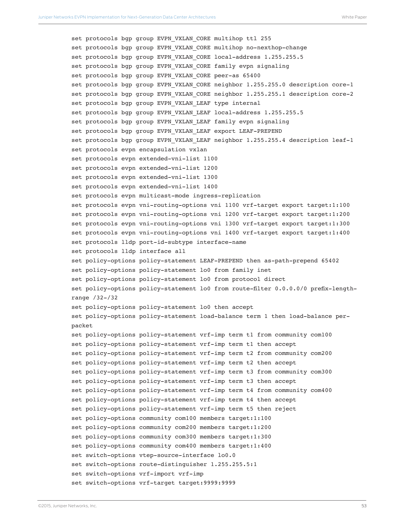```
set protocols bgp group EVPN VXLAN CORE multihop ttl 255
set protocols bgp group EVPN_VXLAN_CORE multihop no-nexthop-change
set protocols bgp group EVPN VXLAN CORE local-address 1.255.255.5
set protocols bgp group EVPN VXLAN CORE family evpn signaling
set protocols bgp group EVPN_VXLAN_CORE peer-as 65400
set protocols bgp group EVPN VXLAN CORE neighbor 1.255.255.0 description core-1
set protocols bgp group EVPN VXLAN CORE neighbor 1.255.255.1 description core-2
set protocols bgp group EVPN VXLAN LEAF type internal
set protocols bgp group EVPN VXLAN LEAF local-address 1.255.255.5
set protocols bgp group EVPN VXLAN LEAF family evpn signaling
set protocols bgp group EVPN VXLAN LEAF export LEAF-PREPEND
set protocols bgp group EVPN VXLAN LEAF neighbor 1.255.255.4 description leaf-1
set protocols evpn encapsulation vxlan
set protocols evpn extended-vni-list 1100
set protocols evpn extended-vni-list 1200
set protocols evpn extended-vni-list 1300
set protocols evpn extended-vni-list 1400
set protocols evpn multicast-mode ingress-replication
set protocols evpn vni-routing-options vni 1100 vrf-target export target:1:100
set protocols evpn vni-routing-options vni 1200 vrf-target export target:1:200
set protocols evpn vni-routing-options vni 1300 vrf-target export target:1:300
set protocols evpn vni-routing-options vni 1400 vrf-target export target:1:400
set protocols lldp port-id-subtype interface-name
set protocols lldp interface all
set policy-options policy-statement LEAF-PREPEND then as-path-prepend 65402
set policy-options policy-statement lo0 from family inet
set policy-options policy-statement lo0 from protocol direct
set policy-options policy-statement lo0 from route-filter 0.0.0.0/0 prefix-length-
range /32-/32
set policy-options policy-statement lo0 then accept
set policy-options policy-statement load-balance term 1 then load-balance per-
packet
set policy-options policy-statement vrf-imp term t1 from community com100
set policy-options policy-statement vrf-imp term t1 then accept
set policy-options policy-statement vrf-imp term t2 from community com200
set policy-options policy-statement vrf-imp term t2 then accept
set policy-options policy-statement vrf-imp term t3 from community com300
set policy-options policy-statement vrf-imp term t3 then accept
set policy-options policy-statement vrf-imp term t4 from community com400
set policy-options policy-statement vrf-imp term t4 then accept
set policy-options policy-statement vrf-imp term t5 then reject
set policy-options community com100 members target:1:100
set policy-options community com200 members target:1:200
set policy-options community com300 members target:1:300
set policy-options community com400 members target:1:400
set switch-options vtep-source-interface lo0.0
set switch-options route-distinguisher 1.255.255.5:1
set switch-options vrf-import vrf-imp
set switch-options vrf-target target:9999:9999
```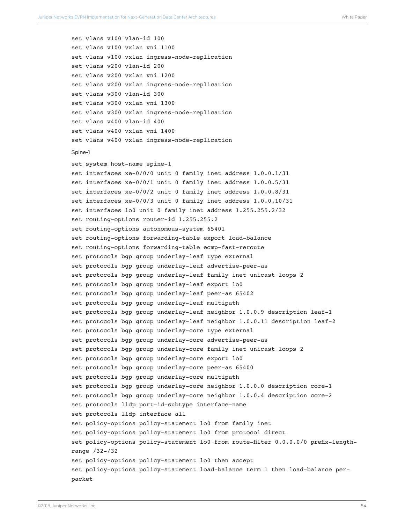set vlans v100 vlan-id 100 set vlans v100 vxlan vni 1100 set vlans v100 vxlan ingress-node-replication set vlans v200 vlan-id 200 set vlans v200 vxlan vni 1200 set vlans v200 vxlan ingress-node-replication set vlans v300 vlan-id 300 set vlans v300 vxlan vni 1300 set vlans v300 vxlan ingress-node-replication set vlans v400 vlan-id 400 set vlans v400 vxlan vni 1400 set vlans v400 vxlan ingress-node-replication Spine-1 set system host-name spine-1 set interfaces xe-0/0/0 unit 0 family inet address 1.0.0.1/31 set interfaces xe-0/0/1 unit 0 family inet address 1.0.0.5/31 set interfaces xe-0/0/2 unit 0 family inet address 1.0.0.8/31 set interfaces xe-0/0/3 unit 0 family inet address 1.0.0.10/31 set interfaces lo0 unit 0 family inet address 1.255.255.2/32 set routing-options router-id 1.255.255.2 set routing-options autonomous-system 65401 set routing-options forwarding-table export load-balance set routing-options forwarding-table ecmp-fast-reroute set protocols bgp group underlay-leaf type external set protocols bgp group underlay-leaf advertise-peer-as set protocols bgp group underlay-leaf family inet unicast loops 2 set protocols bgp group underlay-leaf export lo0 set protocols bgp group underlay-leaf peer-as 65402 set protocols bgp group underlay-leaf multipath set protocols bgp group underlay-leaf neighbor 1.0.0.9 description leaf-1 set protocols bgp group underlay-leaf neighbor 1.0.0.11 description leaf-2 set protocols bgp group underlay-core type external set protocols bgp group underlay-core advertise-peer-as set protocols bgp group underlay-core family inet unicast loops 2 set protocols bgp group underlay-core export lo0 set protocols bgp group underlay-core peer-as 65400 set protocols bgp group underlay-core multipath set protocols bgp group underlay-core neighbor 1.0.0.0 description core-1 set protocols bgp group underlay-core neighbor 1.0.0.4 description core-2 set protocols lldp port-id-subtype interface-name set protocols lldp interface all set policy-options policy-statement lo0 from family inet set policy-options policy-statement lo0 from protocol direct set policy-options policy-statement lo0 from route-filter 0.0.0.0/0 prefix-lengthrange /32-/32 set policy-options policy-statement lo0 then accept set policy-options policy-statement load-balance term 1 then load-balance perpacket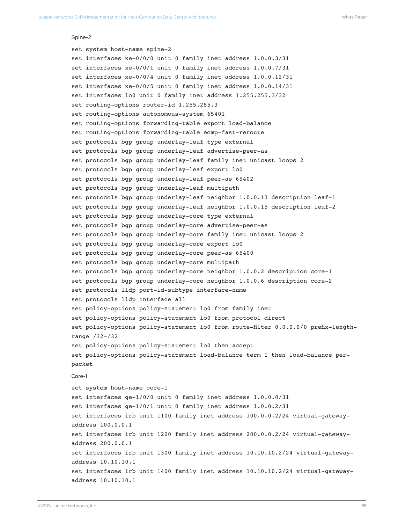#### Spine-2

set system host-name spine-2 set interfaces xe-0/0/0 unit 0 family inet address 1.0.0.3/31 set interfaces xe-0/0/1 unit 0 family inet address 1.0.0.7/31 set interfaces xe-0/0/4 unit 0 family inet address 1.0.0.12/31 set interfaces xe-0/0/5 unit 0 family inet address 1.0.0.14/31 set interfaces lo0 unit 0 family inet address 1.255.255.3/32 set routing-options router-id 1.255.255.3 set routing-options autonomous-system 65401 set routing-options forwarding-table export load-balance set routing-options forwarding-table ecmp-fast-reroute set protocols bgp group underlay-leaf type external set protocols bgp group underlay-leaf advertise-peer-as set protocols bgp group underlay-leaf family inet unicast loops 2 set protocols bgp group underlay-leaf export lo0 set protocols bgp group underlay-leaf peer-as 65402 set protocols bgp group underlay-leaf multipath set protocols bgp group underlay-leaf neighbor 1.0.0.13 description leaf-1 set protocols bgp group underlay-leaf neighbor 1.0.0.15 description leaf-2 set protocols bgp group underlay-core type external set protocols bgp group underlay-core advertise-peer-as set protocols bgp group underlay-core family inet unicast loops 2 set protocols bgp group underlay-core export lo0 set protocols bgp group underlay-core peer-as 65400 set protocols bgp group underlay-core multipath set protocols bgp group underlay-core neighbor 1.0.0.2 description core-1 set protocols bgp group underlay-core neighbor 1.0.0.6 description core-2 set protocols lldp port-id-subtype interface-name set protocols lldp interface all set policy-options policy-statement lo0 from family inet set policy-options policy-statement lo0 from protocol direct set policy-options policy-statement lo0 from route-filter 0.0.0.0/0 prefix-lengthrange /32-/32 set policy-options policy-statement lo0 then accept set policy-options policy-statement load-balance term 1 then load-balance perpacket Core-1 set system host-name core-1 set interfaces ge-1/0/0 unit 0 family inet address 1.0.0.0/31 set interfaces ge-1/0/1 unit 0 family inet address 1.0.0.2/31 set interfaces irb unit 1100 family inet address 100.0.0.2/24 virtual-gatewayaddress 100.0.0.1 set interfaces irb unit 1200 family inet address 200.0.0.2/24 virtual-gatewayaddress 200.0.0.1 set interfaces irb unit 1300 family inet address 10.10.10.2/24 virtual-gatewayaddress 10.10.10.1 set interfaces irb unit 1400 family inet address 10.10.10.2/24 virtual-gatewayaddress 10.10.10.1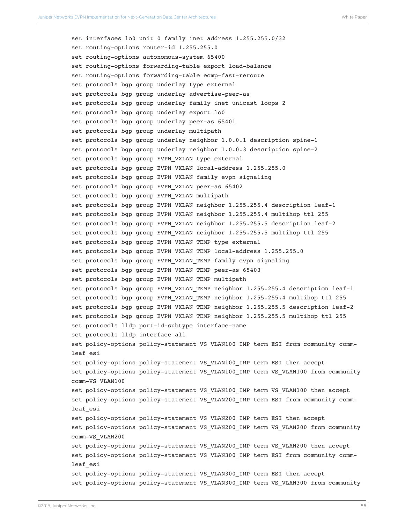set interfaces lo0 unit 0 family inet address 1.255.255.0/32 set routing-options router-id 1.255.255.0 set routing-options autonomous-system 65400 set routing-options forwarding-table export load-balance set routing-options forwarding-table ecmp-fast-reroute set protocols bgp group underlay type external set protocols bgp group underlay advertise-peer-as set protocols bgp group underlay family inet unicast loops 2 set protocols bgp group underlay export lo0 set protocols bgp group underlay peer-as 65401 set protocols bgp group underlay multipath set protocols bgp group underlay neighbor 1.0.0.1 description spine-1 set protocols bgp group underlay neighbor 1.0.0.3 description spine-2 set protocols bgp group EVPN\_VXLAN type external set protocols bgp group EVPN VXLAN local-address 1.255.255.0 set protocols bgp group EVPN VXLAN family evpn signaling set protocols bgp group EVPN\_VXLAN peer-as 65402 set protocols bgp group EVPN VXLAN multipath set protocols bgp group EVPN VXLAN neighbor 1.255.255.4 description leaf-1 set protocols bgp group EVPN\_VXLAN neighbor 1.255.255.4 multihop ttl 255 set protocols bgp group EVPN VXLAN neighbor 1.255.255.5 description leaf-2 set protocols bgp group EVPN VXLAN neighbor 1.255.255.5 multihop ttl 255 set protocols bgp group EVPN VXLAN TEMP type external set protocols bgp group EVPN VXLAN TEMP local-address 1.255.255.0 set protocols bgp group EVPN VXLAN TEMP family evpn signaling set protocols bgp group EVPN\_VXLAN\_TEMP peer-as 65403 set protocols bgp group EVPN VXLAN TEMP multipath set protocols bgp group EVPN VXLAN TEMP neighbor 1.255.255.4 description leaf-1 set protocols bgp group EVPN\_VXLAN\_TEMP neighbor 1.255.255.4 multihop ttl 255 set protocols bgp group EVPN VXLAN TEMP neighbor 1.255.255.5 description leaf-2 set protocols bgp group EVPN VXLAN TEMP neighbor 1.255.255.5 multihop ttl 255 set protocols lldp port-id-subtype interface-name set protocols lldp interface all set policy-options policy-statement VS\_VLAN100\_IMP term ESI from community commleaf\_esi set policy-options policy-statement VS\_VLAN100\_IMP term ESI then accept set policy-options policy-statement VS\_VLAN100\_IMP term VS\_VLAN100 from community comm-VS\_VLAN100 set policy-options policy-statement VS\_VLAN100\_IMP term VS\_VLAN100 then accept set policy-options policy-statement VS VLAN200 IMP term ESI from community commleaf\_esi set policy-options policy-statement VS\_VLAN200\_IMP term ESI then accept set policy-options policy-statement VS\_VLAN200\_IMP term VS\_VLAN200 from community comm-VS\_VLAN200 set policy-options policy-statement VS\_VLAN200\_IMP term VS\_VLAN200 then accept set policy-options policy-statement VS VLAN300 IMP term ESI from community commleaf\_esi set policy-options policy-statement VS VLAN300\_IMP term ESI then accept set policy-options policy-statement VS\_VLAN300\_IMP term VS\_VLAN300 from community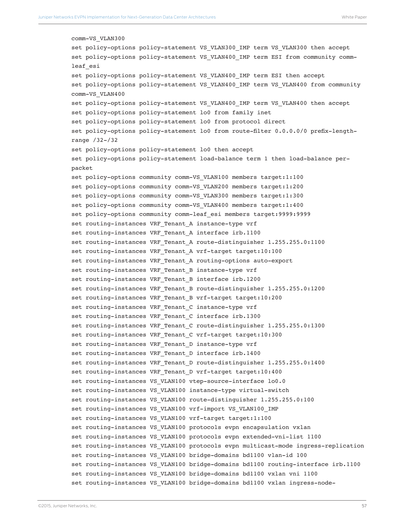```
comm-VS_VLAN300
set policy-options policy-statement VS_VLAN300_IMP term VS_VLAN300 then accept
set policy-options policy-statement VS_VLAN400_IMP term ESI from community comm-
leaf_esi
set policy-options policy-statement VS_VLAN400_IMP term ESI then accept
set policy-options policy-statement VS_VLAN400_IMP term VS_VLAN400 from community
comm-VS_VLAN400
set policy-options policy-statement VS_VLAN400_IMP term VS_VLAN400 then accept
set policy-options policy-statement lo0 from family inet
set policy-options policy-statement lo0 from protocol direct
set policy-options policy-statement lo0 from route-filter 0.0.0.0/0 prefix-length-
range /32-/32
set policy-options policy-statement lo0 then accept
set policy-options policy-statement load-balance term 1 then load-balance per-
packet
set policy-options community comm-VS_VLAN100 members target:1:100
set policy-options community comm-VS VLAN200 members target:1:200
set policy-options community comm-VS VLAN300 members target:1:300
set policy-options community comm-VS VLAN400 members target:1:400
set policy-options community comm-leaf_esi members target:9999:9999
set routing-instances VRF Tenant A instance-type vrf
set routing-instances VRF Tenant A interface irb.1100
set routing-instances VRF Tenant A route-distinguisher 1.255.255.0:1100
set routing-instances VRF Tenant A vrf-target target:10:100
set routing-instances VRF Tenant A routing-options auto-export
set routing-instances VRF_Tenant_B instance-type vrf
set routing-instances VRF Tenant B interface irb.1200
set routing-instances VRF_Tenant_B route-distinguisher 1.255.255.0:1200
set routing-instances VRF_Tenant_B vrf-target target:10:200
set routing-instances VRF Tenant C instance-type vrf
set routing-instances VRF Tenant C interface irb.1300
set routing-instances VRF_Tenant_C route-distinguisher 1.255.255.0:1300
set routing-instances VRF Tenant C vrf-target target:10:300
set routing-instances VRF Tenant D instance-type vrf
set routing-instances VRF_Tenant_D interface irb.1400
set routing-instances VRF Tenant D route-distinguisher 1.255.255.0:1400
set routing-instances VRF Tenant D vrf-target target:10:400
set routing-instances VS_VLAN100 vtep-source-interface lo0.0
set routing-instances VS_VLAN100 instance-type virtual-switch
set routing-instances VS_VLAN100 route-distinguisher 1.255.255.0:100
set routing-instances VS_VLAN100 vrf-import VS_VLAN100_IMP
set routing-instances VS_VLAN100 vrf-target target:1:100
set routing-instances VS_VLAN100 protocols evpn encapsulation vxlan
set routing-instances VS_VLAN100 protocols evpn extended-vni-list 1100
set routing-instances VS_VLAN100 protocols evpn multicast-mode ingress-replication
set routing-instances VS_VLAN100 bridge-domains bd1100 vlan-id 100
set routing-instances VS_VLAN100 bridge-domains bd1100 routing-interface irb.1100
set routing-instances VS_VLAN100 bridge-domains bd1100 vxlan vni 1100
set routing-instances VS_VLAN100 bridge-domains bd1100 vxlan ingress-node-
```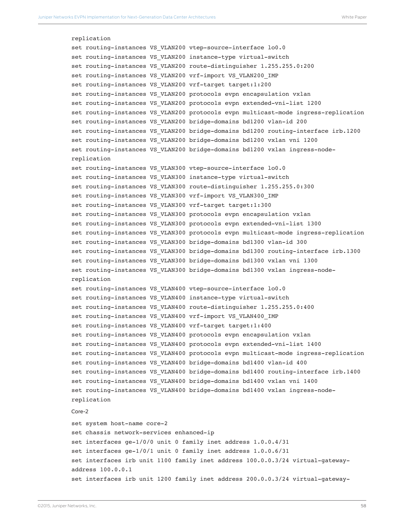```
replication
set routing-instances VS_VLAN200 vtep-source-interface lo0.0
set routing-instances VS_VLAN200 instance-type virtual-switch
set routing-instances VS_VLAN200 route-distinguisher 1.255.255.0:200
set routing-instances VS_VLAN200 vrf-import VS_VLAN200_IMP
set routing-instances VS_VLAN200 vrf-target target:1:200
set routing-instances VS VLAN200 protocols evpn encapsulation vxlan
set routing-instances VS_VLAN200 protocols evpn extended-vni-list 1200
set routing-instances VS_VLAN200 protocols evpn multicast-mode ingress-replication
set routing-instances VS_VLAN200 bridge-domains bd1200 vlan-id 200
set routing-instances VS_VLAN200 bridge-domains bd1200 routing-interface irb.1200
set routing-instances VS_VLAN200 bridge-domains bd1200 vxlan vni 1200
set routing-instances VS_VLAN200 bridge-domains bd1200 vxlan ingress-node-
replication
set routing-instances VS_VLAN300 vtep-source-interface lo0.0
set routing-instances VS VLAN300 instance-type virtual-switch
set routing-instances VS_VLAN300 route-distinguisher 1.255.255.0:300
set routing-instances VS_VLAN300 vrf-import VS_VLAN300_IMP
set routing-instances VS_VLAN300 vrf-target target:1:300
set routing-instances VS_VLAN300 protocols evpn encapsulation vxlan
set routing-instances VS_VLAN300 protocols evpn extended-vni-list 1300
set routing-instances VS_VLAN300 protocols evpn multicast-mode ingress-replication
set routing-instances VS_VLAN300 bridge-domains bd1300 vlan-id 300
set routing-instances VS_VLAN300 bridge-domains bd1300 routing-interface irb.1300
set routing-instances VS_VLAN300 bridge-domains bd1300 vxlan vni 1300
set routing-instances VS_VLAN300 bridge-domains bd1300 vxlan ingress-node-
replication
set routing-instances VS VLAN400 vtep-source-interface lo0.0
set routing-instances VS_VLAN400 instance-type virtual-switch
set routing-instances VS_VLAN400 route-distinguisher 1.255.255.0:400
set routing-instances VS_VLAN400 vrf-import VS_VLAN400_IMP
set routing-instances VS_VLAN400 vrf-target target:1:400
set routing-instances VS VLAN400 protocols evpn encapsulation vxlan
set routing-instances VS_VLAN400 protocols evpn extended-vni-list 1400
set routing-instances VS_VLAN400 protocols evpn multicast-mode ingress-replication
set routing-instances VS_VLAN400 bridge-domains bd1400 vlan-id 400
set routing-instances VS_VLAN400 bridge-domains bd1400 routing-interface irb.1400
set routing-instances VS_VLAN400 bridge-domains bd1400 vxlan vni 1400
set routing-instances VS_VLAN400 bridge-domains bd1400 vxlan ingress-node-
replication
Core-2
set system host-name core-2
set chassis network-services enhanced-ip
set interfaces ge-1/0/0 unit 0 family inet address 1.0.0.4/31
set interfaces ge-1/0/1 unit 0 family inet address 1.0.0.6/31
set interfaces irb unit 1100 family inet address 100.0.0.3/24 virtual-gateway-
address 100.0.0.1
set interfaces irb unit 1200 family inet address 200.0.0.3/24 virtual-gateway-
```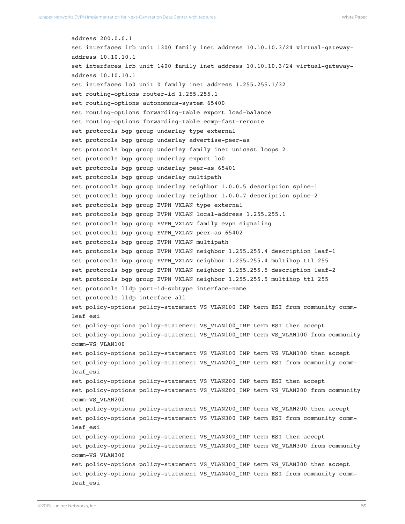address 200.0.0.1 set interfaces irb unit 1300 family inet address 10.10.10.3/24 virtual-gatewayaddress 10.10.10.1 set interfaces irb unit 1400 family inet address 10.10.10.3/24 virtual-gatewayaddress 10.10.10.1 set interfaces lo0 unit 0 family inet address 1.255.255.1/32 set routing-options router-id 1.255.255.1 set routing-options autonomous-system 65400 set routing-options forwarding-table export load-balance set routing-options forwarding-table ecmp-fast-reroute set protocols bgp group underlay type external set protocols bgp group underlay advertise-peer-as set protocols bgp group underlay family inet unicast loops 2 set protocols bgp group underlay export lo0 set protocols bgp group underlay peer-as 65401 set protocols bgp group underlay multipath set protocols bgp group underlay neighbor 1.0.0.5 description spine-1 set protocols bgp group underlay neighbor 1.0.0.7 description spine-2 set protocols bgp group EVPN\_VXLAN type external set protocols bgp group EVPN\_VXLAN local-address 1.255.255.1 set protocols bgp group EVPN VXLAN family evpn signaling set protocols bgp group EVPN\_VXLAN peer-as 65402 set protocols bgp group EVPN VXLAN multipath set protocols bgp group EVPN VXLAN neighbor 1.255.255.4 description leaf-1 set protocols bgp group EVPN\_VXLAN neighbor 1.255.255.4 multihop ttl 255 set protocols bgp group EVPN\_VXLAN neighbor 1.255.255.5 description leaf-2 set protocols bgp group EVPN\_VXLAN neighbor 1.255.255.5 multihop ttl 255 set protocols lldp port-id-subtype interface-name set protocols lldp interface all set policy-options policy-statement VS\_VLAN100\_IMP term ESI from community commleaf\_esi set policy-options policy-statement VS\_VLAN100\_IMP term ESI then accept set policy-options policy-statement VS\_VLAN100\_IMP term VS\_VLAN100 from community comm-VS\_VLAN100 set policy-options policy-statement VS\_VLAN100\_IMP term VS\_VLAN100 then accept set policy-options policy-statement VS\_VLAN200\_IMP term ESI from community commleaf\_esi set policy-options policy-statement VS\_VLAN200\_IMP term ESI then accept set policy-options policy-statement VS\_VLAN200\_IMP term VS\_VLAN200 from community comm-VS\_VLAN200 set policy-options policy-statement VS\_VLAN200\_IMP term VS\_VLAN200 then accept set policy-options policy-statement VS\_VLAN300\_IMP term ESI from community commleaf\_esi set policy-options policy-statement VS\_VLAN300\_IMP term ESI then accept set policy-options policy-statement VS\_VLAN300\_IMP term VS\_VLAN300 from community comm-VS\_VLAN300 set policy-options policy-statement VS\_VLAN300\_IMP term VS\_VLAN300 then accept set policy-options policy-statement VS\_VLAN400\_IMP term ESI from community commleaf\_esi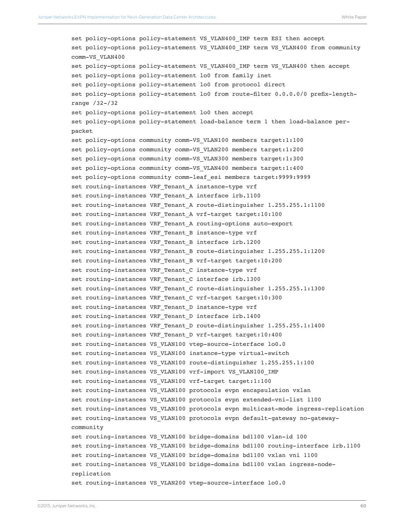```
set policy-options policy-statement VS_VLAN400_IMP term ESI then accept
set policy-options policy-statement VS_VLAN400_IMP term VS_VLAN400 from community 
comm-VS_VLAN400
set policy-options policy-statement VS VLAN400 IMP term VS VLAN400 then accept
set policy-options policy-statement lo0 from family inet
set policy-options policy-statement lo0 from protocol direct
set policy-options policy-statement lo0 from route-filter 0.0.0.0/0 prefix-length-
range /32-/32
set policy-options policy-statement lo0 then accept
set policy-options policy-statement load-balance term 1 then load-balance per-
packet
set policy-options community comm-VS VLAN100 members target:1:100
set policy-options community comm-VS VLAN200 members target:1:200
set policy-options community comm-VS VLAN300 members target:1:300
set policy-options community comm-VS VLAN400 members target:1:400
set policy-options community comm-leaf_esi members target:9999:9999
set routing-instances VRF Tenant A instance-type vrf
set routing-instances VRF Tenant A interface irb.1100
set routing-instances VRF Tenant A route-distinguisher 1.255.255.1:1100
set routing-instances VRF_Tenant_A vrf-target target:10:100
set routing-instances VRF Tenant A routing-options auto-export
set routing-instances VRF Tenant B instance-type vrf
set routing-instances VRF Tenant B interface irb.1200
set routing-instances VRF Tenant B route-distinguisher 1.255.255.1:1200
set routing-instances VRF Tenant B vrf-target target:10:200
set routing-instances VRF_Tenant_C instance-type vrf
set routing-instances VRF Tenant C interface irb.1300
set routing-instances VRF Tenant C route-distinguisher 1.255.255.1:1300
set routing-instances VRF_Tenant_C vrf-target target:10:300
set routing-instances VRF Tenant D instance-type vrf
set routing-instances VRF Tenant D interface irb.1400
set routing-instances VRF_Tenant_D route-distinguisher 1.255.255.1:1400
set routing-instances VRF Tenant D vrf-target target:10:400
set routing-instances VS VLAN100 vtep-source-interface lo0.0
set routing-instances VS_VLAN100 instance-type virtual-switch
set routing-instances VS_VLAN100 route-distinguisher 1.255.255.1:100
set routing-instances VS_VLAN100 vrf-import VS_VLAN100_IMP
set routing-instances VS_VLAN100 vrf-target target:1:100
set routing-instances VS VLAN100 protocols evpn encapsulation vxlan
set routing-instances VS_VLAN100 protocols evpn extended-vni-list 1100
set routing-instances VS_VLAN100 protocols evpn multicast-mode ingress-replication
set routing-instances VS_VLAN100 protocols evpn default-gateway no-gateway-
community
set routing-instances VS_VLAN100 bridge-domains bd1100 vlan-id 100
set routing-instances VS_VLAN100 bridge-domains bd1100 routing-interface irb.1100
set routing-instances VS_VLAN100 bridge-domains bd1100 vxlan vni 1100
set routing-instances VS VLAN100 bridge-domains bd1100 vxlan ingress-node-
replication
set routing-instances VS VLAN200 vtep-source-interface lo0.0
```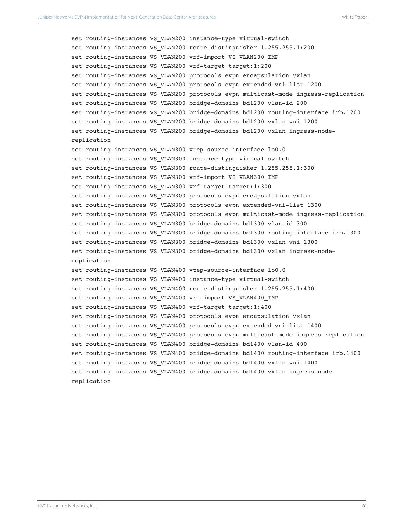```
set routing-instances VS_VLAN200 instance-type virtual-switch
set routing-instances VS_VLAN200 route-distinguisher 1.255.255.1:200
set routing-instances VS_VLAN200 vrf-import VS_VLAN200_IMP
set routing-instances VS VLAN200 vrf-target target:1:200
set routing-instances VS_VLAN200 protocols evpn encapsulation vxlan
set routing-instances VS_VLAN200 protocols evpn extended-vni-list 1200
set routing-instances VS_VLAN200 protocols evpn multicast-mode ingress-replication
set routing-instances VS_VLAN200 bridge-domains bd1200 vlan-id 200
set routing-instances VS_VLAN200 bridge-domains bd1200 routing-interface irb.1200
set routing-instances VS_VLAN200 bridge-domains bd1200 vxlan vni 1200
set routing-instances VS_VLAN200 bridge-domains bd1200 vxlan ingress-node-
replication
set routing-instances VS VLAN300 vtep-source-interface lo0.0
set routing-instances VS_VLAN300 instance-type virtual-switch
set routing-instances VS_VLAN300 route-distinguisher 1.255.255.1:300
set routing-instances VS_VLAN300 vrf-import VS_VLAN300_IMP
set routing-instances VS VLAN300 vrf-target target:1:300
set routing-instances VS VLAN300 protocols evpn encapsulation vxlan
set routing-instances VS_VLAN300 protocols evpn extended-vni-list 1300
set routing-instances VS_VLAN300 protocols evpn multicast-mode ingress-replication
set routing-instances VS_VLAN300 bridge-domains bd1300 vlan-id 300
set routing-instances VS_VLAN300 bridge-domains bd1300 routing-interface irb.1300
set routing-instances VS_VLAN300 bridge-domains bd1300 vxlan vni 1300
set routing-instances VS_VLAN300 bridge-domains bd1300 vxlan ingress-node-
replication
set routing-instances VS_VLAN400 vtep-source-interface lo0.0
set routing-instances VS VLAN400 instance-type virtual-switch
set routing-instances VS_VLAN400 route-distinguisher 1.255.255.1:400
set routing-instances VS_VLAN400 vrf-import VS_VLAN400_IMP
set routing-instances VS VLAN400 vrf-target target:1:400
set routing-instances VS_VLAN400 protocols evpn encapsulation vxlan
set routing-instances VS_VLAN400 protocols evpn extended-vni-list 1400
set routing-instances VS_VLAN400 protocols evpn multicast-mode ingress-replication
set routing-instances VS_VLAN400 bridge-domains bd1400 vlan-id 400
set routing-instances VS_VLAN400 bridge-domains bd1400 routing-interface irb.1400
set routing-instances VS_VLAN400 bridge-domains bd1400 vxlan vni 1400
set routing-instances VS_VLAN400 bridge-domains bd1400 vxlan ingress-node-
replication
```